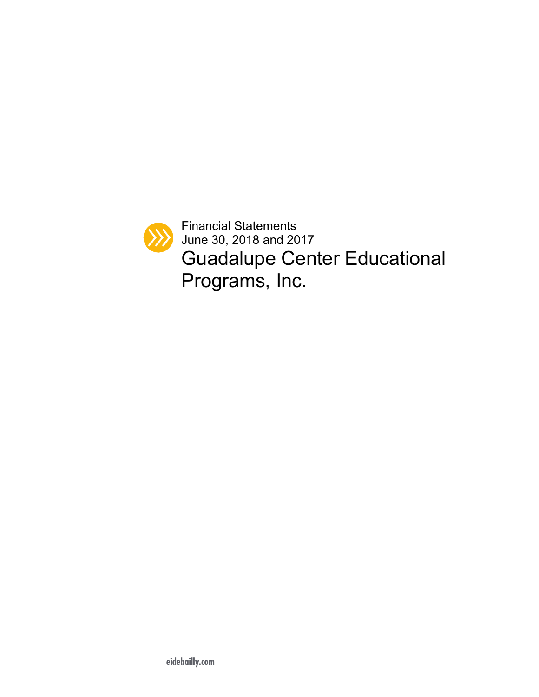Financial Statements June 30, 2018 and 2017 Guadalupe Center Educational Programs, Inc.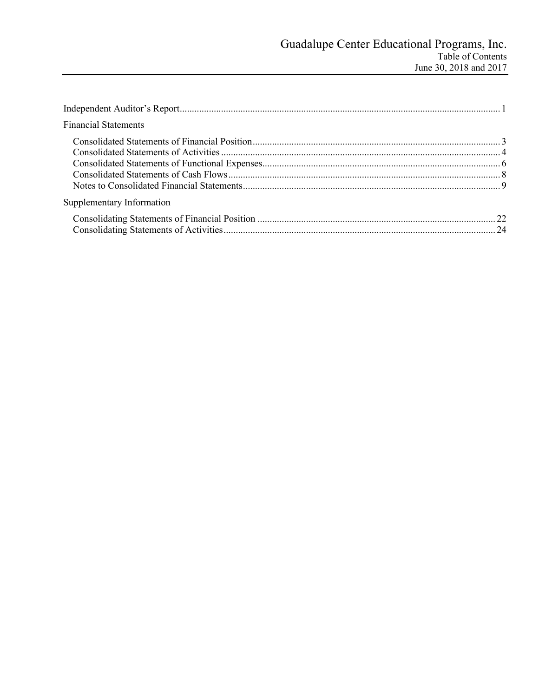| <b>Financial Statements</b> |  |
|-----------------------------|--|
|                             |  |
|                             |  |
|                             |  |
| Supplementary Information   |  |
|                             |  |
|                             |  |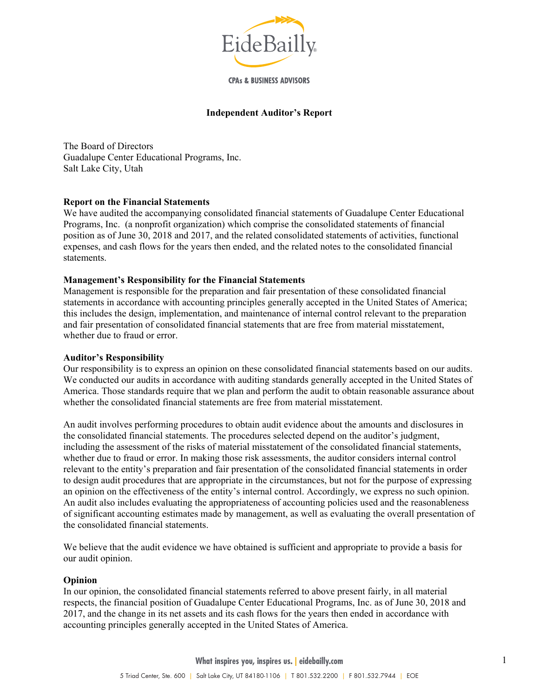

**CPAs & BUSINESS ADVISORS** 

#### **Independent Auditor's Report**

The Board of Directors Guadalupe Center Educational Programs, Inc. Salt Lake City, Utah

#### **Report on the Financial Statements**

We have audited the accompanying consolidated financial statements of Guadalupe Center Educational Programs, Inc. (a nonprofit organization) which comprise the consolidated statements of financial position as of June 30, 2018 and 2017, and the related consolidated statements of activities, functional expenses, and cash flows for the years then ended, and the related notes to the consolidated financial statements.

#### **Management's Responsibility for the Financial Statements**

Management is responsible for the preparation and fair presentation of these consolidated financial statements in accordance with accounting principles generally accepted in the United States of America; this includes the design, implementation, and maintenance of internal control relevant to the preparation and fair presentation of consolidated financial statements that are free from material misstatement, whether due to fraud or error.

#### **Auditor's Responsibility**

Our responsibility is to express an opinion on these consolidated financial statements based on our audits. We conducted our audits in accordance with auditing standards generally accepted in the United States of America. Those standards require that we plan and perform the audit to obtain reasonable assurance about whether the consolidated financial statements are free from material misstatement.

An audit involves performing procedures to obtain audit evidence about the amounts and disclosures in the consolidated financial statements. The procedures selected depend on the auditor's judgment, including the assessment of the risks of material misstatement of the consolidated financial statements, whether due to fraud or error. In making those risk assessments, the auditor considers internal control relevant to the entity's preparation and fair presentation of the consolidated financial statements in order to design audit procedures that are appropriate in the circumstances, but not for the purpose of expressing an opinion on the effectiveness of the entity's internal control. Accordingly, we express no such opinion. An audit also includes evaluating the appropriateness of accounting policies used and the reasonableness of significant accounting estimates made by management, as well as evaluating the overall presentation of the consolidated financial statements.

We believe that the audit evidence we have obtained is sufficient and appropriate to provide a basis for our audit opinion.

#### **Opinion**

In our opinion, the consolidated financial statements referred to above present fairly, in all material respects, the financial position of Guadalupe Center Educational Programs, Inc. as of June 30, 2018 and 2017, and the change in its net assets and its cash flows for the years then ended in accordance with accounting principles generally accepted in the United States of America.

**What inspires you, inspires us. | eidebailly.com**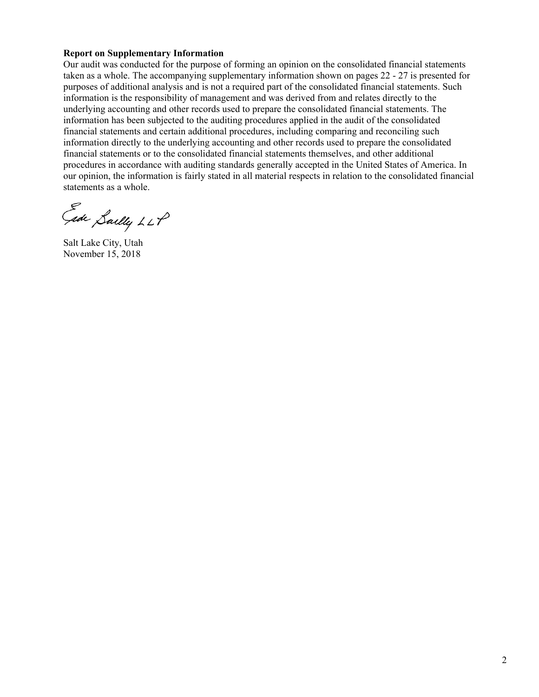#### **Report on Supplementary Information**

Our audit was conducted for the purpose of forming an opinion on the consolidated financial statements taken as a whole. The accompanying supplementary information shown on pages 22 - 27 is presented for purposes of additional analysis and is not a required part of the consolidated financial statements. Such information is the responsibility of management and was derived from and relates directly to the underlying accounting and other records used to prepare the consolidated financial statements. The information has been subjected to the auditing procedures applied in the audit of the consolidated financial statements and certain additional procedures, including comparing and reconciling such information directly to the underlying accounting and other records used to prepare the consolidated financial statements or to the consolidated financial statements themselves, and other additional procedures in accordance with auditing standards generally accepted in the United States of America. In our opinion, the information is fairly stated in all material respects in relation to the consolidated financial statements as a whole.

Ede Sailly LLP

Salt Lake City, Utah November 15, 2018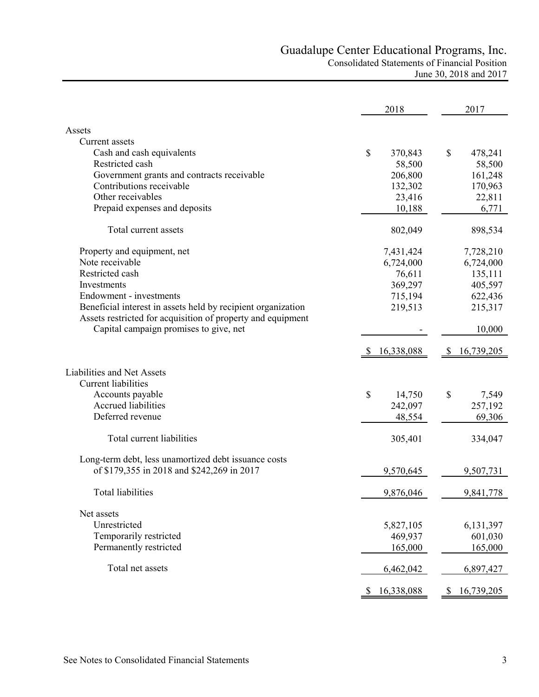|                                                                                                       | 2018                        | 2017                       |
|-------------------------------------------------------------------------------------------------------|-----------------------------|----------------------------|
| Assets                                                                                                |                             |                            |
| <b>Current</b> assets                                                                                 |                             |                            |
| Cash and cash equivalents                                                                             | \$<br>370,843               | \$<br>478,241              |
| Restricted cash                                                                                       | 58,500                      | 58,500                     |
| Government grants and contracts receivable                                                            | 206,800                     | 161,248                    |
| Contributions receivable                                                                              | 132,302                     | 170,963                    |
| Other receivables                                                                                     | 23,416                      | 22,811                     |
| Prepaid expenses and deposits                                                                         | 10,188                      | 6,771                      |
| Total current assets                                                                                  | 802,049                     | 898,534                    |
|                                                                                                       |                             |                            |
| Property and equipment, net<br>Note receivable                                                        | 7,431,424<br>6,724,000      | 7,728,210<br>6,724,000     |
| Restricted cash                                                                                       | 76,611                      | 135,111                    |
| Investments                                                                                           | 369,297                     | 405,597                    |
| Endowment - investments                                                                               | 715,194                     | 622,436                    |
| Beneficial interest in assets held by recipient organization                                          | 219,513                     | 215,317                    |
| Assets restricted for acquisition of property and equipment<br>Capital campaign promises to give, net |                             | 10,000                     |
|                                                                                                       |                             |                            |
|                                                                                                       | 16,338,088                  | 16,739,205<br>- \$         |
| Liabilities and Net Assets                                                                            |                             |                            |
| <b>Current liabilities</b>                                                                            |                             |                            |
| Accounts payable                                                                                      | \$<br>14,750                | \$<br>7,549                |
| <b>Accrued liabilities</b>                                                                            | 242,097                     | 257,192                    |
| Deferred revenue                                                                                      | 48,554                      | 69,306                     |
| Total current liabilities                                                                             | 305,401                     | 334,047                    |
| Long-term debt, less unamortized debt issuance costs                                                  |                             |                            |
| of \$179,355 in 2018 and \$242,269 in 2017                                                            | 9,570,645                   | 9,507,731                  |
|                                                                                                       |                             |                            |
| Total liabilities                                                                                     | 9,876,046                   | 9,841,778                  |
| Net assets                                                                                            |                             |                            |
| Unrestricted                                                                                          | 5,827,105                   | 6,131,397                  |
| Temporarily restricted                                                                                | 469,937                     | 601,030                    |
| Permanently restricted                                                                                | 165,000                     | 165,000                    |
| Total net assets                                                                                      | 6,462,042                   | 6,897,427                  |
|                                                                                                       | 16,338,088<br><sup>\$</sup> | 16,739,205<br>$\mathbb{S}$ |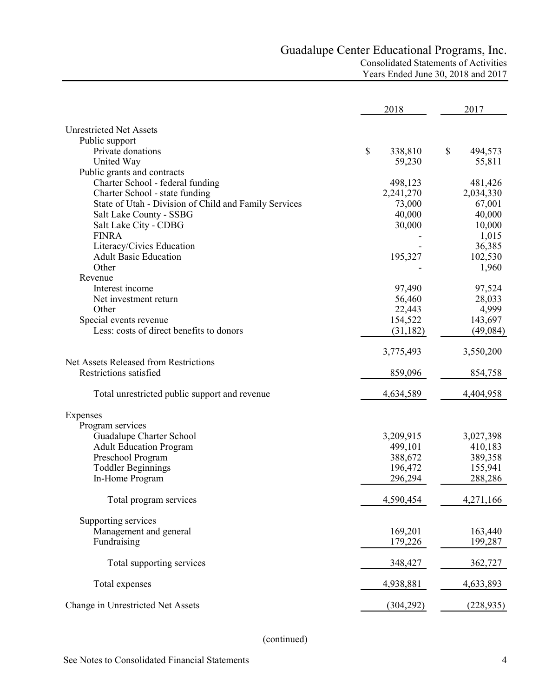|                                                       | 2018          | 2017          |
|-------------------------------------------------------|---------------|---------------|
| <b>Unrestricted Net Assets</b>                        |               |               |
| Public support                                        |               |               |
| Private donations                                     | \$<br>338,810 | \$<br>494,573 |
| United Way                                            | 59,230        | 55,811        |
| Public grants and contracts                           |               |               |
| Charter School - federal funding                      | 498,123       | 481,426       |
| Charter School - state funding                        | 2,241,270     | 2,034,330     |
| State of Utah - Division of Child and Family Services | 73,000        | 67,001        |
| Salt Lake County - SSBG                               | 40,000        | 40,000        |
| Salt Lake City - CDBG                                 | 30,000        | 10,000        |
| <b>FINRA</b>                                          |               | 1,015         |
| Literacy/Civics Education                             |               | 36,385        |
| <b>Adult Basic Education</b>                          | 195,327       | 102,530       |
| Other                                                 |               | 1,960         |
| Revenue                                               |               |               |
| Interest income                                       | 97,490        | 97,524        |
| Net investment return                                 | 56,460        | 28,033        |
| Other                                                 | 22,443        | 4,999         |
| Special events revenue                                | 154,522       | 143,697       |
| Less: costs of direct benefits to donors              | (31, 182)     | (49,084)      |
|                                                       | 3,775,493     | 3,550,200     |
| Net Assets Released from Restrictions                 |               |               |
| Restrictions satisfied                                | 859,096       | 854,758       |
| Total unrestricted public support and revenue         | 4,634,589     | 4,404,958     |
| Expenses                                              |               |               |
| Program services                                      |               |               |
| Guadalupe Charter School                              | 3,209,915     | 3,027,398     |
| <b>Adult Education Program</b>                        | 499,101       | 410,183       |
| Preschool Program                                     | 388,672       | 389,358       |
| <b>Toddler Beginnings</b>                             | 196,472       | 155,941       |
| In-Home Program                                       | 296,294       | 288,286       |
| Total program services                                | 4,590,454     | 4,271,166     |
| Supporting services                                   |               |               |
| Management and general                                | 169,201       | 163,440       |
| Fundraising                                           | 179,226       | 199,287       |
| Total supporting services                             | 348,427       | 362,727       |
| Total expenses                                        | 4,938,881     | 4,633,893     |
| Change in Unrestricted Net Assets                     | (304, 292)    | (228, 935)    |

(continued)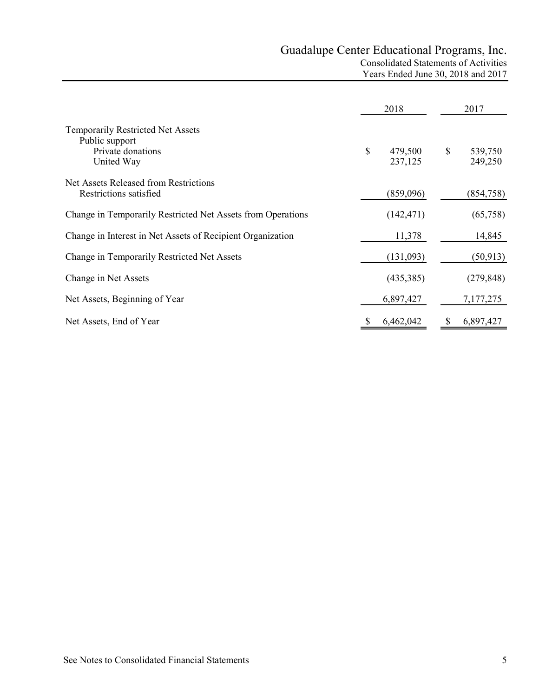# Guadalupe Center Educational Programs, Inc. Consolidated Statements of Activities

|                                                                                               | Years Ended June 30, 2018 and 2017 |                          |
|-----------------------------------------------------------------------------------------------|------------------------------------|--------------------------|
|                                                                                               | 2018                               | 2017                     |
| <b>Temporarily Restricted Net Assets</b><br>Public support<br>Private donations<br>United Way | \$<br>479,500<br>237,125           | \$<br>539,750<br>249,250 |
| Net Assets Released from Restrictions<br>Restrictions satisfied                               | (859,096)                          | (854,758)                |
| Change in Temporarily Restricted Net Assets from Operations                                   | (142, 471)                         | (65,758)                 |
| Change in Interest in Net Assets of Recipient Organization                                    | 11,378                             | 14,845                   |
| Change in Temporarily Restricted Net Assets                                                   | (131,093)                          | (50, 913)                |
| Change in Net Assets                                                                          | (435, 385)                         | (279, 848)               |
| Net Assets, Beginning of Year                                                                 | 6,897,427                          | 7,177,275                |
| Net Assets, End of Year                                                                       | \$<br>6,462,042                    | \$<br>6,897,427          |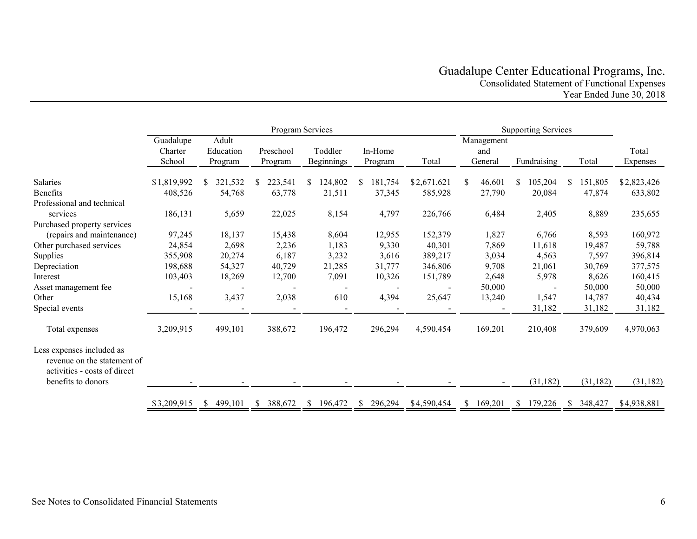# Guadalupe Center Educational Programs, Inc. Consolidated Statement of Functional Expenses Year Ended June 30, 2018

|                                                                                          | Program Services               |                               |                      |                              |                         | <b>Supporting Services</b> |                                                      |                         |                         |                   |
|------------------------------------------------------------------------------------------|--------------------------------|-------------------------------|----------------------|------------------------------|-------------------------|----------------------------|------------------------------------------------------|-------------------------|-------------------------|-------------------|
|                                                                                          | Guadalupe<br>Charter<br>School | Adult<br>Education<br>Program | Preschool<br>Program | Toddler<br><b>Beginnings</b> | In-Home<br>Program      | Total                      | Management<br>and<br>Fundraising<br>Total<br>General |                         |                         | Total<br>Expenses |
| Salaries                                                                                 | \$1,819,992                    | 321,532<br>\$.                | 223,541<br>S.        | 124,802<br><sup>\$</sup>     | 181,754<br>-S           | \$2,671,621                | 46,601<br>\$.                                        | \$<br>105,204           | S.<br>151,805           | \$2,823,426       |
| <b>Benefits</b>                                                                          | 408,526                        | 54,768                        | 63,778               | 21,511                       | 37,345                  | 585,928                    | 27,790                                               | 20,084                  | 47,874                  | 633,802           |
| Professional and technical                                                               |                                |                               |                      |                              |                         |                            |                                                      |                         |                         |                   |
| services                                                                                 | 186,131                        | 5,659                         | 22,025               | 8,154                        | 4,797                   | 226,766                    | 6,484                                                | 2,405                   | 8,889                   | 235,655           |
| Purchased property services<br>(repairs and maintenance)                                 | 97,245                         | 18,137                        | 15,438               | 8,604                        | 12,955                  | 152,379                    | 1,827                                                | 6,766                   | 8,593                   | 160,972           |
| Other purchased services                                                                 | 24,854                         | 2,698                         | 2,236                | 1,183                        | 9,330                   | 40,301                     | 7,869                                                | 11,618                  | 19,487                  | 59,788            |
| Supplies                                                                                 | 355,908                        | 20,274                        | 6,187                | 3,232                        | 3,616                   | 389,217                    | 3,034                                                | 4,563                   | 7,597                   | 396,814           |
| Depreciation                                                                             | 198,688                        | 54,327                        | 40,729               | 21,285                       | 31,777                  | 346,806                    | 9,708                                                | 21,061                  | 30,769                  | 377,575           |
| Interest                                                                                 | 103,403                        | 18,269                        | 12,700               | 7,091                        | 10,326                  | 151,789                    | 2,648                                                | 5,978                   | 8,626                   | 160,415           |
| Asset management fee                                                                     |                                |                               |                      |                              |                         |                            | 50,000                                               |                         | 50,000                  | 50,000            |
| Other                                                                                    | 15,168                         | 3,437                         | 2,038                | 610                          | 4,394                   | 25,647                     | 13,240                                               | 1,547                   | 14,787                  | 40,434            |
| Special events                                                                           |                                |                               |                      |                              |                         |                            |                                                      | 31,182                  | 31,182                  | 31,182            |
| Total expenses                                                                           | 3,209,915                      | 499,101                       | 388,672              | 196,472                      | 296,294                 | 4,590,454                  | 169,201                                              | 210,408                 | 379,609                 | 4,970,063         |
| Less expenses included as<br>revenue on the statement of<br>activities - costs of direct |                                |                               |                      |                              |                         |                            |                                                      |                         |                         |                   |
| benefits to donors                                                                       |                                |                               |                      |                              |                         |                            |                                                      | (31, 182)               | (31, 182)               | (31, 182)         |
|                                                                                          | \$3,209,915                    | 499,101<br><sup>S</sup>       | 388,672<br>S.        | 196,472<br><sup>\$</sup>     | 296,294<br><sup>S</sup> | \$4,590,454                | 169,201<br>\$                                        | 179,226<br>$\mathbb{S}$ | 348,427<br><sup>S</sup> | \$4,938,881       |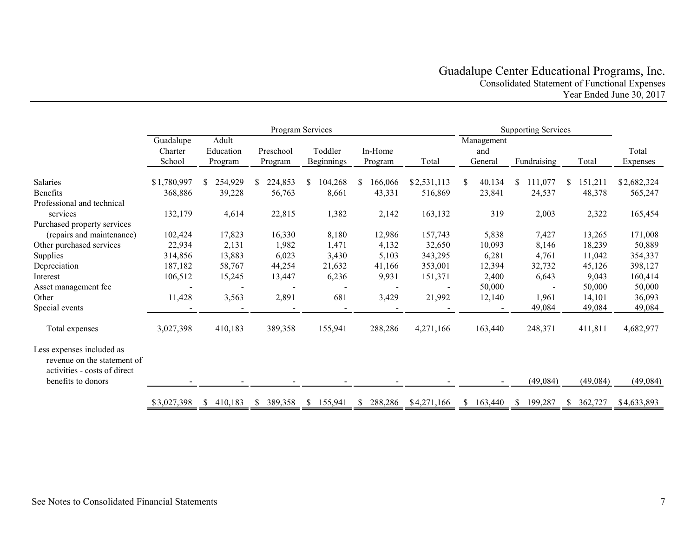# Guadalupe Center Educational Programs, Inc. Consolidated Statement of Functional Expenses Year Ended June 30, 2017

|                                                                                          | Program Services               |                               |                         |                         | <b>Supporting Services</b> |             |                                             |               |                          |                   |
|------------------------------------------------------------------------------------------|--------------------------------|-------------------------------|-------------------------|-------------------------|----------------------------|-------------|---------------------------------------------|---------------|--------------------------|-------------------|
|                                                                                          | Guadalupe<br>Charter<br>School | Adult<br>Education<br>Program | Preschool<br>Program    | Toddler<br>Beginnings   | In-Home<br>Program         | Total       | Management<br>and<br>General<br>Fundraising |               | Total                    | Total<br>Expenses |
|                                                                                          |                                |                               |                         |                         |                            |             |                                             |               |                          |                   |
| Salaries                                                                                 | \$1,780,997                    | 254,929                       | 224,853<br><b>S</b>     | 104,268<br>-S           | 166,066                    | \$2,531,113 | 40,134<br>\$                                | S.<br>111,077 | 151,211<br><sup>\$</sup> | \$2,682,324       |
| Benefits                                                                                 | 368,886                        | 39,228                        | 56,763                  | 8,661                   | 43,331                     | 516,869     | 23,841                                      | 24,537        | 48,378                   | 565,247           |
| Professional and technical                                                               |                                |                               |                         |                         |                            |             |                                             |               |                          |                   |
| services                                                                                 | 132,179                        | 4,614                         | 22,815                  | 1,382                   | 2,142                      | 163,132     | 319                                         | 2,003         | 2,322                    | 165,454           |
| Purchased property services                                                              |                                |                               |                         |                         |                            |             |                                             |               |                          |                   |
| (repairs and maintenance)                                                                | 102,424                        | 17,823                        | 16,330                  | 8,180                   | 12,986                     | 157,743     | 5,838                                       | 7,427         | 13,265                   | 171,008           |
| Other purchased services                                                                 | 22,934                         | 2,131                         | 1,982                   | 1,471                   | 4,132                      | 32,650      | 10,093                                      | 8,146         | 18,239                   | 50,889            |
| Supplies                                                                                 | 314,856                        | 13,883                        | 6,023                   | 3,430                   | 5,103                      | 343,295     | 6,281                                       | 4,761         | 11,042                   | 354,337           |
| Depreciation                                                                             | 187,182                        | 58,767                        | 44,254                  | 21,632                  | 41,166                     | 353,001     | 12,394                                      | 32,732        | 45,126                   | 398,127           |
| Interest                                                                                 | 106,512                        | 15,245                        | 13,447                  | 6,236                   | 9,931                      | 151,371     | 2,400                                       | 6,643         | 9,043                    | 160,414           |
| Asset management fee                                                                     |                                |                               |                         |                         |                            |             | 50,000                                      |               | 50,000                   | 50,000            |
| Other                                                                                    | 11,428                         | 3,563                         | 2,891                   | 681                     | 3,429                      | 21,992      | 12,140                                      | 1,961         | 14,101                   | 36,093            |
| Special events                                                                           |                                |                               |                         |                         |                            |             |                                             | 49,084        | 49,084                   | 49,084            |
| Total expenses                                                                           | 3,027,398                      | 410,183                       | 389,358                 | 155,941                 | 288,286                    | 4,271,166   | 163,440                                     | 248,371       | 411,811                  | 4,682,977         |
| Less expenses included as<br>revenue on the statement of<br>activities - costs of direct |                                |                               |                         |                         |                            |             |                                             |               |                          |                   |
| benefits to donors                                                                       |                                |                               |                         |                         |                            |             |                                             | (49,084)      | (49,084)                 | (49,084)          |
|                                                                                          | \$3,027,398                    | \$410,183                     | 389,358<br>$\mathbb{S}$ | 155,941<br><sup>S</sup> | 288,286<br>S.              | \$4,271,166 | 163,440<br>S.                               | 199,287<br>\$ | 362,727<br>\$            | \$4,633,893       |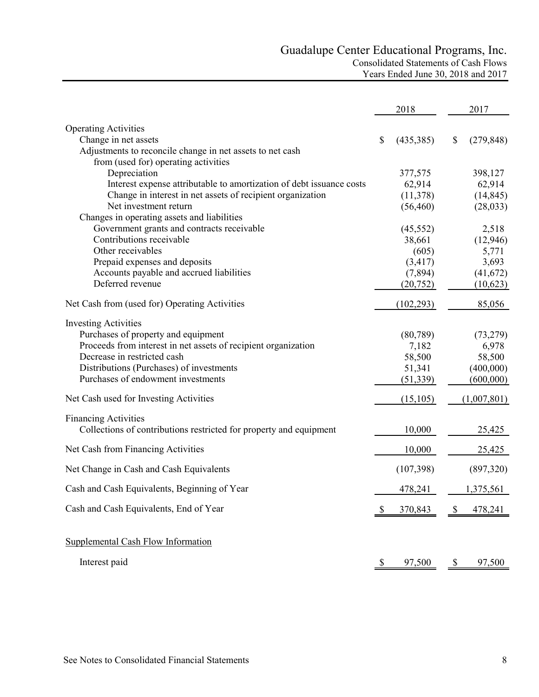# Guadalupe Center Educational Programs, Inc.

Consolidated Statements of Cash Flows Years Ended June 30, 2018 and 2017

|                                                                      |                      | 2018       |               | 2017        |
|----------------------------------------------------------------------|----------------------|------------|---------------|-------------|
| <b>Operating Activities</b>                                          |                      |            |               |             |
| Change in net assets                                                 | \$                   | (435,385)  | \$            | (279, 848)  |
| Adjustments to reconcile change in net assets to net cash            |                      |            |               |             |
| from (used for) operating activities                                 |                      |            |               |             |
| Depreciation                                                         |                      | 377,575    |               | 398,127     |
| Interest expense attributable to amortization of debt issuance costs |                      | 62,914     |               | 62,914      |
| Change in interest in net assets of recipient organization           |                      | (11,378)   |               | (14, 845)   |
| Net investment return                                                |                      | (56, 460)  |               | (28, 033)   |
| Changes in operating assets and liabilities                          |                      |            |               |             |
| Government grants and contracts receivable                           |                      | (45, 552)  |               | 2,518       |
| Contributions receivable                                             |                      | 38,661     |               | (12, 946)   |
| Other receivables                                                    |                      | (605)      |               | 5,771       |
| Prepaid expenses and deposits                                        |                      | (3, 417)   |               | 3,693       |
| Accounts payable and accrued liabilities                             |                      | (7,894)    |               | (41,672)    |
| Deferred revenue                                                     |                      | (20, 752)  |               | (10,623)    |
|                                                                      |                      |            |               |             |
| Net Cash from (used for) Operating Activities                        |                      | (102, 293) |               | 85,056      |
| <b>Investing Activities</b>                                          |                      |            |               |             |
| Purchases of property and equipment                                  |                      | (80, 789)  |               | (73,279)    |
| Proceeds from interest in net assets of recipient organization       |                      | 7,182      |               | 6,978       |
| Decrease in restricted cash                                          |                      | 58,500     |               | 58,500      |
| Distributions (Purchases) of investments                             |                      | 51,341     |               | (400,000)   |
| Purchases of endowment investments                                   |                      | (51, 339)  |               | (600,000)   |
| Net Cash used for Investing Activities                               |                      | (15,105)   |               | (1,007,801) |
| <b>Financing Activities</b>                                          |                      |            |               |             |
| Collections of contributions restricted for property and equipment   |                      | 10,000     |               | 25,425      |
| Net Cash from Financing Activities                                   |                      | 10,000     |               | 25,425      |
| Net Change in Cash and Cash Equivalents                              |                      | (107, 398) |               | (897,320)   |
| Cash and Cash Equivalents, Beginning of Year                         |                      | 478,241    |               | 1,375,561   |
|                                                                      |                      |            |               |             |
| Cash and Cash Equivalents, End of Year                               | -S                   | 370,843    | \$            | 478,241     |
| Supplemental Cash Flow Information                                   |                      |            |               |             |
| Interest paid                                                        | $\sqrt{\frac{1}{2}}$ | 97,500     | $\mathcal{S}$ | 97,500      |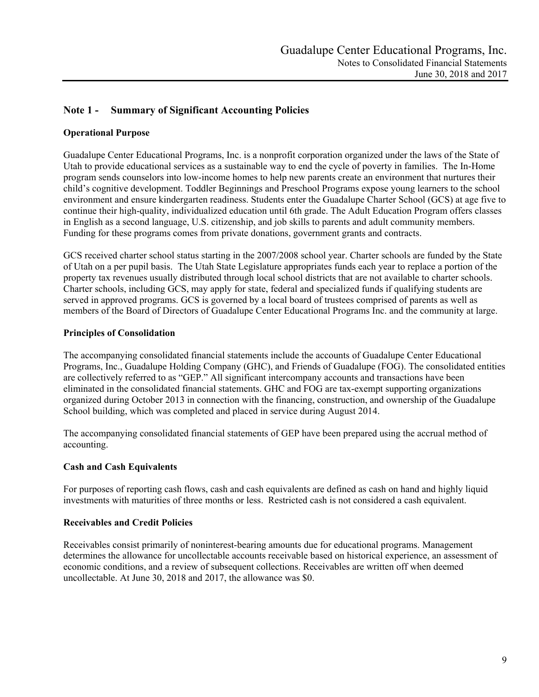# **Note 1 - Summary of Significant Accounting Policies**

# **Operational Purpose**

Guadalupe Center Educational Programs, Inc. is a nonprofit corporation organized under the laws of the State of Utah to provide educational services as a sustainable way to end the cycle of poverty in families. The In-Home program sends counselors into low-income homes to help new parents create an environment that nurtures their child's cognitive development. Toddler Beginnings and Preschool Programs expose young learners to the school environment and ensure kindergarten readiness. Students enter the Guadalupe Charter School (GCS) at age five to continue their high-quality, individualized education until 6th grade. The Adult Education Program offers classes in English as a second language, U.S. citizenship, and job skills to parents and adult community members. Funding for these programs comes from private donations, government grants and contracts.

GCS received charter school status starting in the 2007/2008 school year. Charter schools are funded by the State of Utah on a per pupil basis. The Utah State Legislature appropriates funds each year to replace a portion of the property tax revenues usually distributed through local school districts that are not available to charter schools. Charter schools, including GCS, may apply for state, federal and specialized funds if qualifying students are served in approved programs. GCS is governed by a local board of trustees comprised of parents as well as members of the Board of Directors of Guadalupe Center Educational Programs Inc. and the community at large.

# **Principles of Consolidation**

The accompanying consolidated financial statements include the accounts of Guadalupe Center Educational Programs, Inc., Guadalupe Holding Company (GHC), and Friends of Guadalupe (FOG). The consolidated entities are collectively referred to as "GEP." All significant intercompany accounts and transactions have been eliminated in the consolidated financial statements. GHC and FOG are tax-exempt supporting organizations organized during October 2013 in connection with the financing, construction, and ownership of the Guadalupe School building, which was completed and placed in service during August 2014.

The accompanying consolidated financial statements of GEP have been prepared using the accrual method of accounting.

# **Cash and Cash Equivalents**

For purposes of reporting cash flows, cash and cash equivalents are defined as cash on hand and highly liquid investments with maturities of three months or less. Restricted cash is not considered a cash equivalent.

#### **Receivables and Credit Policies**

Receivables consist primarily of noninterest-bearing amounts due for educational programs. Management determines the allowance for uncollectable accounts receivable based on historical experience, an assessment of economic conditions, and a review of subsequent collections. Receivables are written off when deemed uncollectable. At June 30, 2018 and 2017, the allowance was \$0.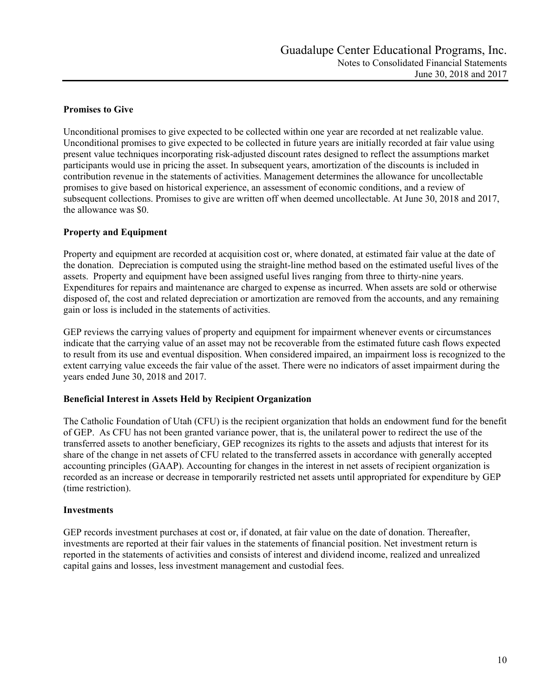# **Promises to Give**

Unconditional promises to give expected to be collected within one year are recorded at net realizable value. Unconditional promises to give expected to be collected in future years are initially recorded at fair value using present value techniques incorporating risk-adjusted discount rates designed to reflect the assumptions market participants would use in pricing the asset. In subsequent years, amortization of the discounts is included in contribution revenue in the statements of activities. Management determines the allowance for uncollectable promises to give based on historical experience, an assessment of economic conditions, and a review of subsequent collections. Promises to give are written off when deemed uncollectable. At June 30, 2018 and 2017, the allowance was \$0.

# **Property and Equipment**

Property and equipment are recorded at acquisition cost or, where donated, at estimated fair value at the date of the donation. Depreciation is computed using the straight-line method based on the estimated useful lives of the assets. Property and equipment have been assigned useful lives ranging from three to thirty-nine years. Expenditures for repairs and maintenance are charged to expense as incurred. When assets are sold or otherwise disposed of, the cost and related depreciation or amortization are removed from the accounts, and any remaining gain or loss is included in the statements of activities.

GEP reviews the carrying values of property and equipment for impairment whenever events or circumstances indicate that the carrying value of an asset may not be recoverable from the estimated future cash flows expected to result from its use and eventual disposition. When considered impaired, an impairment loss is recognized to the extent carrying value exceeds the fair value of the asset. There were no indicators of asset impairment during the years ended June 30, 2018 and 2017.

#### **Beneficial Interest in Assets Held by Recipient Organization**

The Catholic Foundation of Utah (CFU) is the recipient organization that holds an endowment fund for the benefit of GEP. As CFU has not been granted variance power, that is, the unilateral power to redirect the use of the transferred assets to another beneficiary, GEP recognizes its rights to the assets and adjusts that interest for its share of the change in net assets of CFU related to the transferred assets in accordance with generally accepted accounting principles (GAAP). Accounting for changes in the interest in net assets of recipient organization is recorded as an increase or decrease in temporarily restricted net assets until appropriated for expenditure by GEP (time restriction).

#### **Investments**

GEP records investment purchases at cost or, if donated, at fair value on the date of donation. Thereafter, investments are reported at their fair values in the statements of financial position. Net investment return is reported in the statements of activities and consists of interest and dividend income, realized and unrealized capital gains and losses, less investment management and custodial fees.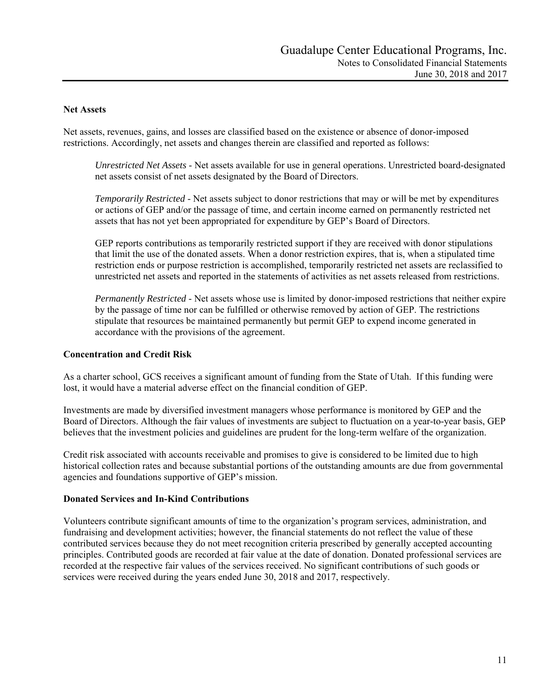#### **Net Assets**

Net assets, revenues, gains, and losses are classified based on the existence or absence of donor-imposed restrictions. Accordingly, net assets and changes therein are classified and reported as follows:

*Unrestricted Net Assets* - Net assets available for use in general operations. Unrestricted board-designated net assets consist of net assets designated by the Board of Directors.

*Temporarily Restricted* - Net assets subject to donor restrictions that may or will be met by expenditures or actions of GEP and/or the passage of time, and certain income earned on permanently restricted net assets that has not yet been appropriated for expenditure by GEP's Board of Directors.

GEP reports contributions as temporarily restricted support if they are received with donor stipulations that limit the use of the donated assets. When a donor restriction expires, that is, when a stipulated time restriction ends or purpose restriction is accomplished, temporarily restricted net assets are reclassified to unrestricted net assets and reported in the statements of activities as net assets released from restrictions.

*Permanently Restricted* - Net assets whose use is limited by donor-imposed restrictions that neither expire by the passage of time nor can be fulfilled or otherwise removed by action of GEP. The restrictions stipulate that resources be maintained permanently but permit GEP to expend income generated in accordance with the provisions of the agreement.

#### **Concentration and Credit Risk**

As a charter school, GCS receives a significant amount of funding from the State of Utah. If this funding were lost, it would have a material adverse effect on the financial condition of GEP.

Investments are made by diversified investment managers whose performance is monitored by GEP and the Board of Directors. Although the fair values of investments are subject to fluctuation on a year-to-year basis, GEP believes that the investment policies and guidelines are prudent for the long-term welfare of the organization.

Credit risk associated with accounts receivable and promises to give is considered to be limited due to high historical collection rates and because substantial portions of the outstanding amounts are due from governmental agencies and foundations supportive of GEP's mission.

#### **Donated Services and In-Kind Contributions**

Volunteers contribute significant amounts of time to the organization's program services, administration, and fundraising and development activities; however, the financial statements do not reflect the value of these contributed services because they do not meet recognition criteria prescribed by generally accepted accounting principles. Contributed goods are recorded at fair value at the date of donation. Donated professional services are recorded at the respective fair values of the services received. No significant contributions of such goods or services were received during the years ended June 30, 2018 and 2017, respectively.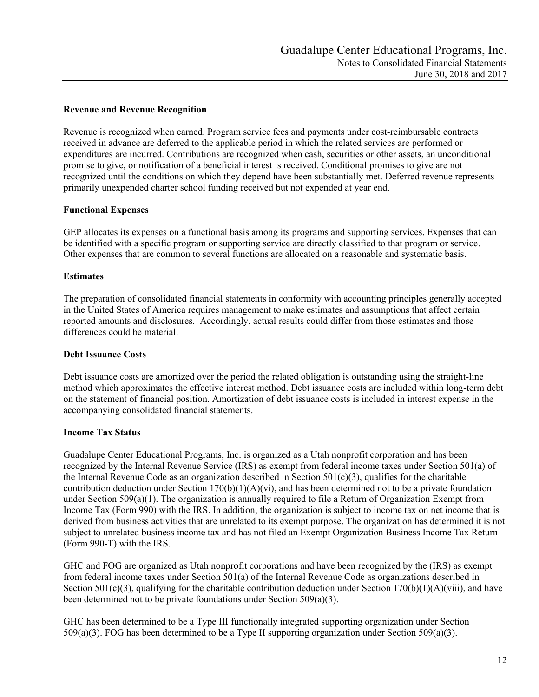#### **Revenue and Revenue Recognition**

Revenue is recognized when earned. Program service fees and payments under cost-reimbursable contracts received in advance are deferred to the applicable period in which the related services are performed or expenditures are incurred. Contributions are recognized when cash, securities or other assets, an unconditional promise to give, or notification of a beneficial interest is received. Conditional promises to give are not recognized until the conditions on which they depend have been substantially met. Deferred revenue represents primarily unexpended charter school funding received but not expended at year end.

# **Functional Expenses**

GEP allocates its expenses on a functional basis among its programs and supporting services. Expenses that can be identified with a specific program or supporting service are directly classified to that program or service. Other expenses that are common to several functions are allocated on a reasonable and systematic basis.

# **Estimates**

The preparation of consolidated financial statements in conformity with accounting principles generally accepted in the United States of America requires management to make estimates and assumptions that affect certain reported amounts and disclosures. Accordingly, actual results could differ from those estimates and those differences could be material.

#### **Debt Issuance Costs**

Debt issuance costs are amortized over the period the related obligation is outstanding using the straight-line method which approximates the effective interest method. Debt issuance costs are included within long-term debt on the statement of financial position. Amortization of debt issuance costs is included in interest expense in the accompanying consolidated financial statements.

#### **Income Tax Status**

Guadalupe Center Educational Programs, Inc. is organized as a Utah nonprofit corporation and has been recognized by the Internal Revenue Service (IRS) as exempt from federal income taxes under Section 501(a) of the Internal Revenue Code as an organization described in Section  $501(c)(3)$ , qualifies for the charitable contribution deduction under Section  $170(b)(1)(A)(vi)$ , and has been determined not to be a private foundation under Section 509(a)(1). The organization is annually required to file a Return of Organization Exempt from Income Tax (Form 990) with the IRS. In addition, the organization is subject to income tax on net income that is derived from business activities that are unrelated to its exempt purpose. The organization has determined it is not subject to unrelated business income tax and has not filed an Exempt Organization Business Income Tax Return (Form 990-T) with the IRS.

GHC and FOG are organized as Utah nonprofit corporations and have been recognized by the (IRS) as exempt from federal income taxes under Section 501(a) of the Internal Revenue Code as organizations described in Section 501(c)(3), qualifying for the charitable contribution deduction under Section  $170(b)(1)(A)(viii)$ , and have been determined not to be private foundations under Section 509(a)(3).

GHC has been determined to be a Type III functionally integrated supporting organization under Section 509(a)(3). FOG has been determined to be a Type II supporting organization under Section 509(a)(3).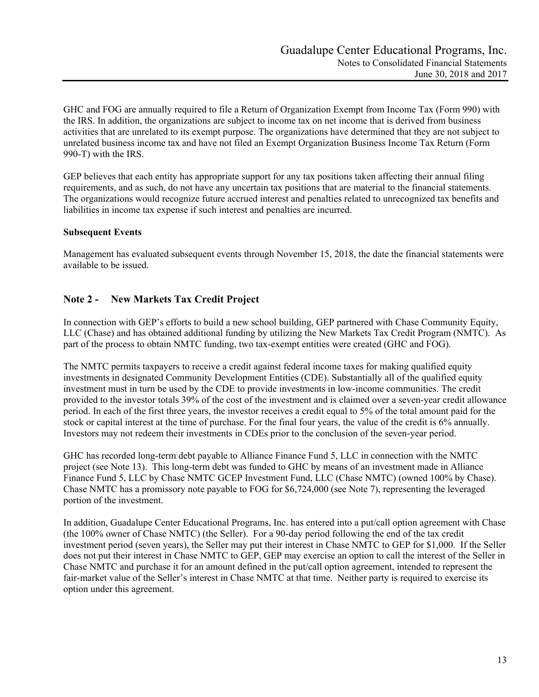GHC and FOG are annually required to file a Return of Organization Exempt from Income Tax (Form 990) with the IRS. In addition, the organizations are subject to income tax on net income that is derived from business activities that are unrelated to its exempt purpose. The organizations have determined that they are not subject to unrelated business income tax and have not filed an Exempt Organization Business Income Tax Return (Form 990-T) with the IRS.

GEP believes that each entity has appropriate support for any tax positions taken affecting their annual filing requirements, and as such, do not have any uncertain tax positions that are material to the financial statements. The organizations would recognize future accrued interest and penalties related to unrecognized tax benefits and liabilities in income tax expense if such interest and penalties are incurred.

# **Subsequent Events**

Management has evaluated subsequent events through November 15, 2018, the date the financial statements were available to be issued.

# **Note 2 - New Markets Tax Credit Project**

In connection with GEP's efforts to build a new school building, GEP partnered with Chase Community Equity, LLC (Chase) and has obtained additional funding by utilizing the New Markets Tax Credit Program (NMTC). As part of the process to obtain NMTC funding, two tax-exempt entities were created (GHC and FOG).

The NMTC permits taxpayers to receive a credit against federal income taxes for making qualified equity investments in designated Community Development Entities (CDE). Substantially all of the qualified equity investment must in turn be used by the CDE to provide investments in low-income communities. The credit provided to the investor totals 39% of the cost of the investment and is claimed over a seven-year credit allowance period. In each of the first three years, the investor receives a credit equal to 5% of the total amount paid for the stock or capital interest at the time of purchase. For the final four years, the value of the credit is 6% annually. Investors may not redeem their investments in CDEs prior to the conclusion of the seven-year period.

GHC has recorded long-term debt payable to Alliance Finance Fund 5, LLC in connection with the NMTC project (see Note 13). This long-term debt was funded to GHC by means of an investment made in Alliance Finance Fund 5, LLC by Chase NMTC GCEP Investment Fund, LLC (Chase NMTC) (owned 100% by Chase). Chase NMTC has a promissory note payable to FOG for \$6,724,000 (see Note 7), representing the leveraged portion of the investment.

In addition, Guadalupe Center Educational Programs, Inc. has entered into a put/call option agreement with Chase (the 100% owner of Chase NMTC) (the Seller). For a 90-day period following the end of the tax credit investment period (seven years), the Seller may put their interest in Chase NMTC to GEP for \$1,000. If the Seller does not put their interest in Chase NMTC to GEP, GEP may exercise an option to call the interest of the Seller in Chase NMTC and purchase it for an amount defined in the put/call option agreement, intended to represent the fair-market value of the Seller's interest in Chase NMTC at that time. Neither party is required to exercise its option under this agreement.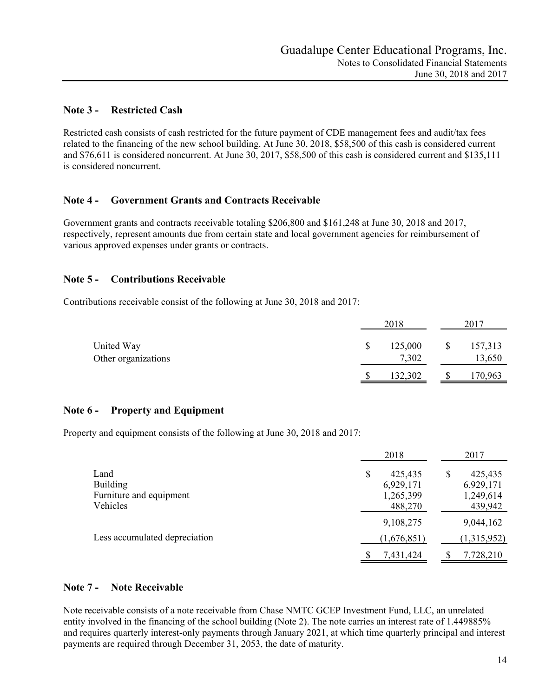# **Note 3 - Restricted Cash**

Restricted cash consists of cash restricted for the future payment of CDE management fees and audit/tax fees related to the financing of the new school building. At June 30, 2018, \$58,500 of this cash is considered current and \$76,611 is considered noncurrent. At June 30, 2017, \$58,500 of this cash is considered current and \$135,111 is considered noncurrent.

# **Note 4 - Government Grants and Contracts Receivable**

Government grants and contracts receivable totaling \$206,800 and \$161,248 at June 30, 2018 and 2017, respectively, represent amounts due from certain state and local government agencies for reimbursement of various approved expenses under grants or contracts.

# **Note 5 - Contributions Receivable**

Contributions receivable consist of the following at June 30, 2018 and 2017:

|                     | 2018    | 2017 |         |  |
|---------------------|---------|------|---------|--|
| United Way          | 125,000 | \$   | 157,313 |  |
| Other organizations | 7,302   |      | 13,650  |  |
|                     | 132,302 |      | 170,963 |  |

# **Note 6 - Property and Equipment**

Property and equipment consists of the following at June 30, 2018 and 2017:

|                                                                | 2018                                               | 2017                                               |
|----------------------------------------------------------------|----------------------------------------------------|----------------------------------------------------|
| Land<br><b>Building</b><br>Furniture and equipment<br>Vehicles | \$<br>425,435<br>6,929,171<br>1,265,399<br>488,270 | \$<br>425,435<br>6,929,171<br>1,249,614<br>439,942 |
|                                                                | 9,108,275                                          | 9,044,162                                          |
| Less accumulated depreciation                                  | (1,676,851)                                        | (1,315,952)                                        |
|                                                                | 7,431,424                                          | 7,728,210                                          |

#### **Note 7 - Note Receivable**

Note receivable consists of a note receivable from Chase NMTC GCEP Investment Fund, LLC, an unrelated entity involved in the financing of the school building (Note 2). The note carries an interest rate of 1.449885% and requires quarterly interest-only payments through January 2021, at which time quarterly principal and interest payments are required through December 31, 2053, the date of maturity.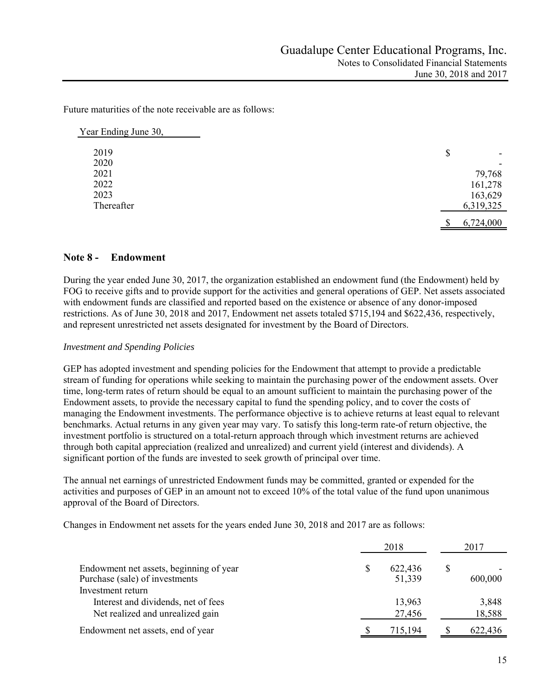Future maturities of the note receivable are as follows:

| Year Ending June 30, |                                |
|----------------------|--------------------------------|
| 2019                 | \$<br>$\overline{\phantom{a}}$ |
| 2020                 | $\overline{\phantom{a}}$       |
| 2021                 | 79,768                         |
| 2022                 | 161,278                        |
| 2023                 | 163,629                        |
| Thereafter           | 6,319,325                      |
|                      | \$<br>6,724,000                |

# **Note 8 - Endowment**

During the year ended June 30, 2017, the organization established an endowment fund (the Endowment) held by FOG to receive gifts and to provide support for the activities and general operations of GEP. Net assets associated with endowment funds are classified and reported based on the existence or absence of any donor-imposed restrictions. As of June 30, 2018 and 2017, Endowment net assets totaled \$715,194 and \$622,436, respectively, and represent unrestricted net assets designated for investment by the Board of Directors.

#### *Investment and Spending Policies*

GEP has adopted investment and spending policies for the Endowment that attempt to provide a predictable stream of funding for operations while seeking to maintain the purchasing power of the endowment assets. Over time, long-term rates of return should be equal to an amount sufficient to maintain the purchasing power of the Endowment assets, to provide the necessary capital to fund the spending policy, and to cover the costs of managing the Endowment investments. The performance objective is to achieve returns at least equal to relevant benchmarks. Actual returns in any given year may vary. To satisfy this long-term rate-of return objective, the investment portfolio is structured on a total-return approach through which investment returns are achieved through both capital appreciation (realized and unrealized) and current yield (interest and dividends). A significant portion of the funds are invested to seek growth of principal over time.

The annual net earnings of unrestricted Endowment funds may be committed, granted or expended for the activities and purposes of GEP in an amount not to exceed 10% of the total value of the fund upon unanimous approval of the Board of Directors.

Changes in Endowment net assets for the years ended June 30, 2018 and 2017 are as follows:

|                                                                           | 2018 |                   |   | 2017            |
|---------------------------------------------------------------------------|------|-------------------|---|-----------------|
| Endowment net assets, beginning of year<br>Purchase (sale) of investments | S    | 622,436<br>51,339 | S | 600,000         |
| Investment return                                                         |      |                   |   |                 |
| Interest and dividends, net of fees<br>Net realized and unrealized gain   |      | 13,963<br>27,456  |   | 3,848<br>18,588 |
| Endowment net assets, end of year                                         |      | 715,194           |   | 622,436         |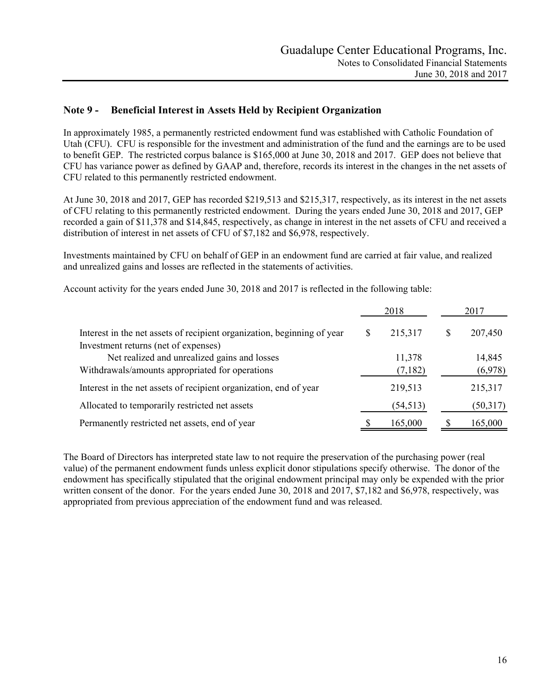# **Note 9 - Beneficial Interest in Assets Held by Recipient Organization**

In approximately 1985, a permanently restricted endowment fund was established with Catholic Foundation of Utah (CFU). CFU is responsible for the investment and administration of the fund and the earnings are to be used to benefit GEP. The restricted corpus balance is \$165,000 at June 30, 2018 and 2017. GEP does not believe that CFU has variance power as defined by GAAP and, therefore, records its interest in the changes in the net assets of CFU related to this permanently restricted endowment.

At June 30, 2018 and 2017, GEP has recorded \$219,513 and \$215,317, respectively, as its interest in the net assets of CFU relating to this permanently restricted endowment. During the years ended June 30, 2018 and 2017, GEP recorded a gain of \$11,378 and \$14,845, respectively, as change in interest in the net assets of CFU and received a distribution of interest in net assets of CFU of \$7,182 and \$6,978, respectively.

Investments maintained by CFU on behalf of GEP in an endowment fund are carried at fair value, and realized and unrealized gains and losses are reflected in the statements of activities.

Account activity for the years ended June 30, 2018 and 2017 is reflected in the following table:

|                                                                                                                 | 2018              |   | 2017              |
|-----------------------------------------------------------------------------------------------------------------|-------------------|---|-------------------|
| Interest in the net assets of recipient organization, beginning of year<br>Investment returns (net of expenses) | \$<br>215,317     | S | 207,450           |
| Net realized and unrealized gains and losses<br>Withdrawals/amounts appropriated for operations                 | 11,378<br>(7,182) |   | 14,845<br>(6,978) |
| Interest in the net assets of recipient organization, end of year                                               | 219,513           |   | 215,317           |
| Allocated to temporarily restricted net assets                                                                  | (54, 513)         |   | (50,317)          |
| Permanently restricted net assets, end of year                                                                  | 165,000           |   | 165,000           |

The Board of Directors has interpreted state law to not require the preservation of the purchasing power (real value) of the permanent endowment funds unless explicit donor stipulations specify otherwise. The donor of the endowment has specifically stipulated that the original endowment principal may only be expended with the prior written consent of the donor. For the years ended June 30, 2018 and 2017, \$7,182 and \$6,978, respectively, was appropriated from previous appreciation of the endowment fund and was released.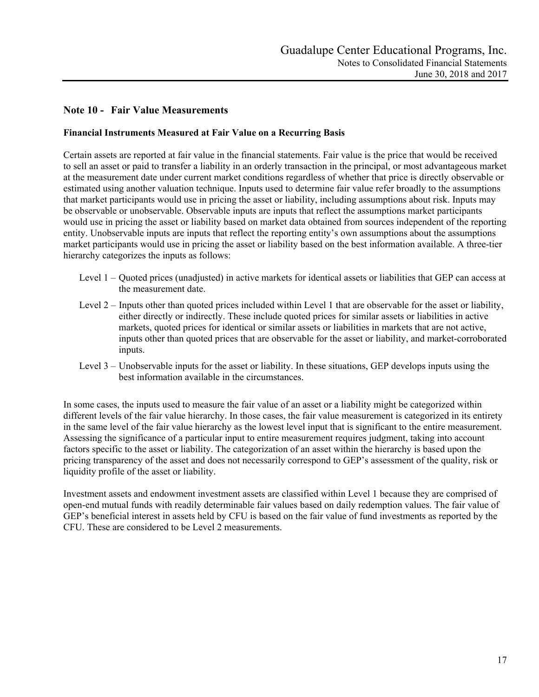# **Note 10 - Fair Value Measurements**

#### **Financial Instruments Measured at Fair Value on a Recurring Basis**

Certain assets are reported at fair value in the financial statements. Fair value is the price that would be received to sell an asset or paid to transfer a liability in an orderly transaction in the principal, or most advantageous market at the measurement date under current market conditions regardless of whether that price is directly observable or estimated using another valuation technique. Inputs used to determine fair value refer broadly to the assumptions that market participants would use in pricing the asset or liability, including assumptions about risk. Inputs may be observable or unobservable. Observable inputs are inputs that reflect the assumptions market participants would use in pricing the asset or liability based on market data obtained from sources independent of the reporting entity. Unobservable inputs are inputs that reflect the reporting entity's own assumptions about the assumptions market participants would use in pricing the asset or liability based on the best information available. A three-tier hierarchy categorizes the inputs as follows:

- Level 1 Quoted prices (unadjusted) in active markets for identical assets or liabilities that GEP can access at the measurement date.
- Level 2 Inputs other than quoted prices included within Level 1 that are observable for the asset or liability, either directly or indirectly. These include quoted prices for similar assets or liabilities in active markets, quoted prices for identical or similar assets or liabilities in markets that are not active, inputs other than quoted prices that are observable for the asset or liability, and market-corroborated inputs.
- Level 3 Unobservable inputs for the asset or liability. In these situations, GEP develops inputs using the best information available in the circumstances.

In some cases, the inputs used to measure the fair value of an asset or a liability might be categorized within different levels of the fair value hierarchy. In those cases, the fair value measurement is categorized in its entirety in the same level of the fair value hierarchy as the lowest level input that is significant to the entire measurement. Assessing the significance of a particular input to entire measurement requires judgment, taking into account factors specific to the asset or liability. The categorization of an asset within the hierarchy is based upon the pricing transparency of the asset and does not necessarily correspond to GEP's assessment of the quality, risk or liquidity profile of the asset or liability.

Investment assets and endowment investment assets are classified within Level 1 because they are comprised of open-end mutual funds with readily determinable fair values based on daily redemption values. The fair value of GEP's beneficial interest in assets held by CFU is based on the fair value of fund investments as reported by the CFU. These are considered to be Level 2 measurements.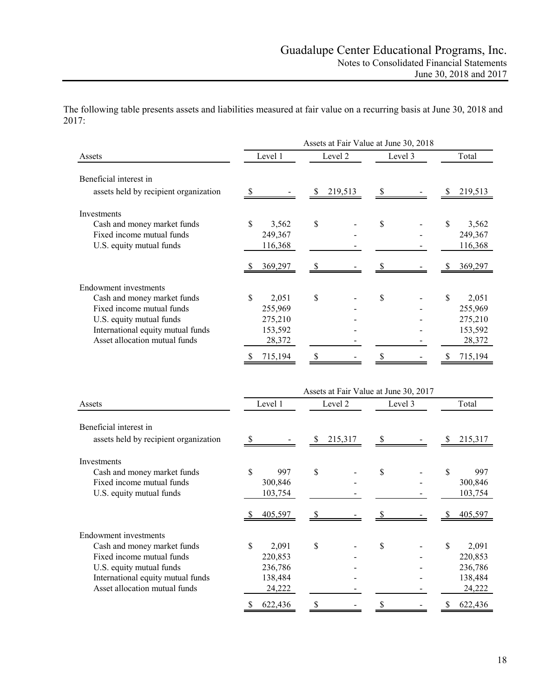The following table presents assets and liabilities measured at fair value on a recurring basis at June 30, 2018 and 2017:

|                                                                 | Assets at Fair Value at June 30, 2018 |                           |                                                  |                    |  |  |  |  |  |  |
|-----------------------------------------------------------------|---------------------------------------|---------------------------|--------------------------------------------------|--------------------|--|--|--|--|--|--|
| Assets                                                          | Level 1                               | Level 2                   | Level 3                                          | Total              |  |  |  |  |  |  |
| Beneficial interest in                                          |                                       |                           |                                                  |                    |  |  |  |  |  |  |
| assets held by recipient organization                           | -S                                    | 219,513<br>\$             | \$                                               | 219,513<br>S       |  |  |  |  |  |  |
| Investments                                                     |                                       |                           |                                                  |                    |  |  |  |  |  |  |
| Cash and money market funds                                     | \$<br>3,562                           | \$                        | \$                                               | \$<br>3,562        |  |  |  |  |  |  |
| Fixed income mutual funds                                       | 249,367                               |                           |                                                  | 249,367            |  |  |  |  |  |  |
| U.S. equity mutual funds                                        | 116,368                               |                           |                                                  | 116,368            |  |  |  |  |  |  |
|                                                                 | 369,297                               |                           |                                                  | 369,297            |  |  |  |  |  |  |
| <b>Endowment</b> investments                                    |                                       |                           |                                                  |                    |  |  |  |  |  |  |
| Cash and money market funds                                     | \$<br>2,051                           | \$                        | \$                                               | \$<br>2,051        |  |  |  |  |  |  |
| Fixed income mutual funds                                       | 255,969                               |                           |                                                  | 255,969            |  |  |  |  |  |  |
| U.S. equity mutual funds<br>International equity mutual funds   | 275,210<br>153,592                    |                           |                                                  | 275,210<br>153,592 |  |  |  |  |  |  |
| Asset allocation mutual funds                                   | 28,372                                |                           |                                                  | 28,372             |  |  |  |  |  |  |
|                                                                 | 715,194                               | $\boldsymbol{\mathsf{S}}$ |                                                  | 715,194            |  |  |  |  |  |  |
| Assets                                                          | Level 1                               | Level 2                   | Assets at Fair Value at June 30, 2017<br>Level 3 | Total              |  |  |  |  |  |  |
|                                                                 |                                       |                           |                                                  |                    |  |  |  |  |  |  |
| Beneficial interest in<br>assets held by recipient organization | -S                                    | S                         |                                                  |                    |  |  |  |  |  |  |
|                                                                 |                                       | 215,317                   | <sup>8</sup>                                     | 215,317            |  |  |  |  |  |  |
| Investments                                                     |                                       |                           |                                                  |                    |  |  |  |  |  |  |
| Cash and money market funds                                     | \$<br>997                             | \$                        | \$                                               | \$<br>997          |  |  |  |  |  |  |
| Fixed income mutual funds<br>U.S. equity mutual funds           | 300,846                               |                           |                                                  | 300,846<br>103,754 |  |  |  |  |  |  |
|                                                                 | 103,754                               |                           |                                                  |                    |  |  |  |  |  |  |
|                                                                 | 405,597                               |                           |                                                  | 405,597            |  |  |  |  |  |  |
| <b>Endowment</b> investments                                    |                                       |                           |                                                  |                    |  |  |  |  |  |  |
| Cash and money market funds                                     | \$<br>2,091                           | \$                        | S                                                | \$<br>2,091        |  |  |  |  |  |  |
| Fixed income mutual funds<br>U.S. equity mutual funds           | 220,853<br>236,786                    |                           |                                                  | 220,853<br>236,786 |  |  |  |  |  |  |
| International equity mutual funds                               | 138,484                               |                           |                                                  | 138,484            |  |  |  |  |  |  |
| Asset allocation mutual funds                                   | 24,222                                |                           |                                                  | 24,222             |  |  |  |  |  |  |
|                                                                 | 622,436<br>\$                         | $\boldsymbol{\mathsf{S}}$ | \$                                               | 622,436<br>\$      |  |  |  |  |  |  |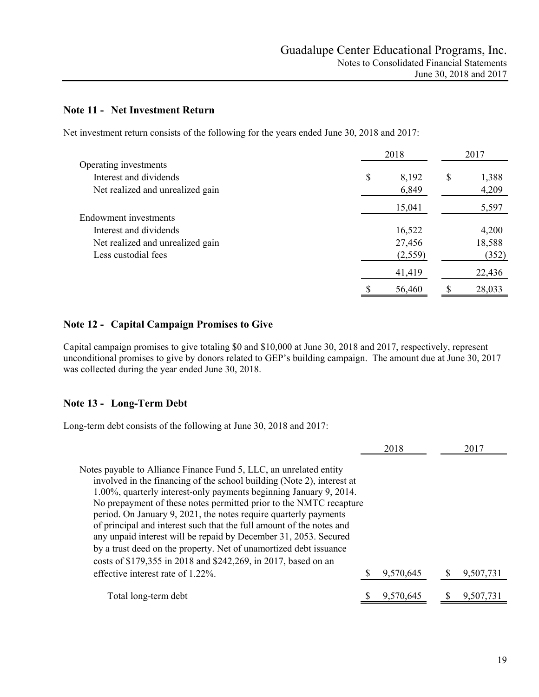# **Note 11 - Net Investment Return**

Net investment return consists of the following for the years ended June 30, 2018 and 2017:

|                                  | 2018        | 2017        |  |  |
|----------------------------------|-------------|-------------|--|--|
| Operating investments            |             |             |  |  |
| Interest and dividends           | \$<br>8,192 | \$<br>1,388 |  |  |
| Net realized and unrealized gain | 6,849       | 4,209       |  |  |
|                                  | 15,041      | 5,597       |  |  |
| Endowment investments            |             |             |  |  |
| Interest and dividends           | 16,522      | 4,200       |  |  |
| Net realized and unrealized gain | 27,456      | 18,588      |  |  |
| Less custodial fees              | (2,559)     | (352)       |  |  |
|                                  | 41,419      | 22,436      |  |  |
|                                  | 56,460      | 28,033      |  |  |

# **Note 12 - Capital Campaign Promises to Give**

Capital campaign promises to give totaling \$0 and \$10,000 at June 30, 2018 and 2017, respectively, represent unconditional promises to give by donors related to GEP's building campaign. The amount due at June 30, 2017 was collected during the year ended June 30, 2018.

# **Note 13 - Long-Term Debt**

Long-term debt consists of the following at June 30, 2018 and 2017:

|                                                                                                                                                                                                                                                                                                                                                                                                                                                                                                                                                                                                                                                                                      | 2018      |  | 2017      |
|--------------------------------------------------------------------------------------------------------------------------------------------------------------------------------------------------------------------------------------------------------------------------------------------------------------------------------------------------------------------------------------------------------------------------------------------------------------------------------------------------------------------------------------------------------------------------------------------------------------------------------------------------------------------------------------|-----------|--|-----------|
| Notes payable to Alliance Finance Fund 5, LLC, an unrelated entity<br>involved in the financing of the school building (Note 2), interest at<br>1.00%, quarterly interest-only payments beginning January 9, 2014.<br>No prepayment of these notes permitted prior to the NMTC recapture<br>period. On January 9, 2021, the notes require quarterly payments<br>of principal and interest such that the full amount of the notes and<br>any unpaid interest will be repaid by December 31, 2053. Secured<br>by a trust deed on the property. Net of unamortized debt issuance<br>costs of \$179,355 in 2018 and \$242,269, in 2017, based on an<br>effective interest rate of 1.22%. | 9,570,645 |  | 9,507,731 |
| Total long-term debt                                                                                                                                                                                                                                                                                                                                                                                                                                                                                                                                                                                                                                                                 | 9.570.645 |  | 9,507,731 |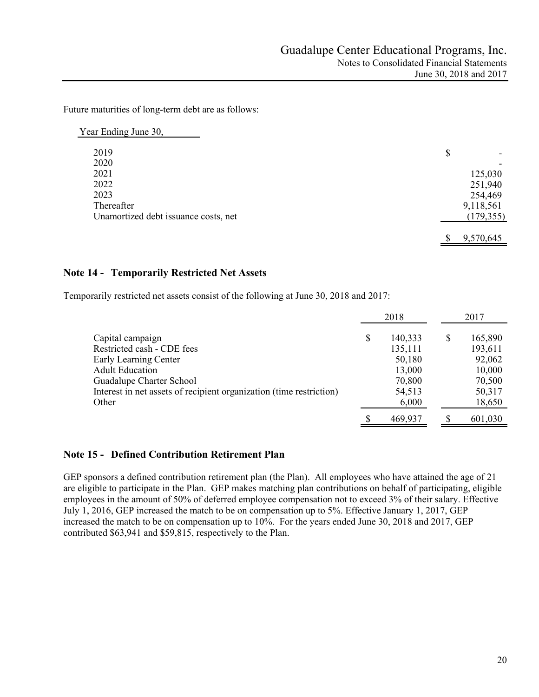Future maturities of long-term debt are as follows:

| Year Ending June 30,                 |            |
|--------------------------------------|------------|
| 2019                                 | \$         |
| 2020                                 |            |
| 2021                                 | 125,030    |
| 2022                                 | 251,940    |
| 2023                                 | 254,469    |
| Thereafter                           | 9,118,561  |
| Unamortized debt issuance costs, net | (179, 355) |
|                                      | 9,570,645  |

# **Note 14 - Temporarily Restricted Net Assets**

Temporarily restricted net assets consist of the following at June 30, 2018 and 2017:

|                                                                     |    | 2018    |   | 2017    |
|---------------------------------------------------------------------|----|---------|---|---------|
| Capital campaign                                                    | \$ | 140,333 | S | 165,890 |
| Restricted cash - CDE fees                                          |    | 135,111 |   | 193,611 |
| Early Learning Center                                               |    | 50,180  |   | 92,062  |
| <b>Adult Education</b>                                              |    | 13,000  |   | 10,000  |
| Guadalupe Charter School                                            |    | 70,800  |   | 70,500  |
| Interest in net assets of recipient organization (time restriction) |    | 54,513  |   | 50,317  |
| Other                                                               |    | 6,000   |   | 18,650  |
|                                                                     | S  | 469,937 |   | 601,030 |

#### **Note 15 - Defined Contribution Retirement Plan**

GEP sponsors a defined contribution retirement plan (the Plan). All employees who have attained the age of 21 are eligible to participate in the Plan. GEP makes matching plan contributions on behalf of participating, eligible employees in the amount of 50% of deferred employee compensation not to exceed 3% of their salary. Effective July 1, 2016, GEP increased the match to be on compensation up to 5%. Effective January 1, 2017, GEP increased the match to be on compensation up to 10%. For the years ended June 30, 2018 and 2017, GEP contributed \$63,941 and \$59,815, respectively to the Plan.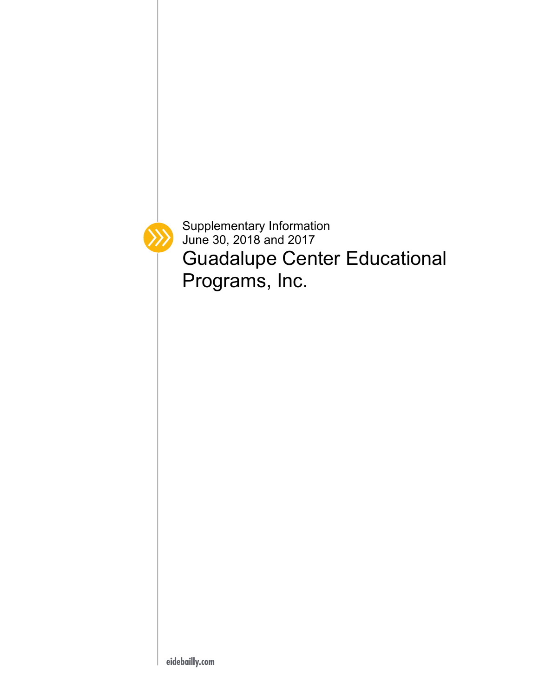Supplementary Information June 30, 2018 and 2017 Guadalupe Center Educational Programs, Inc.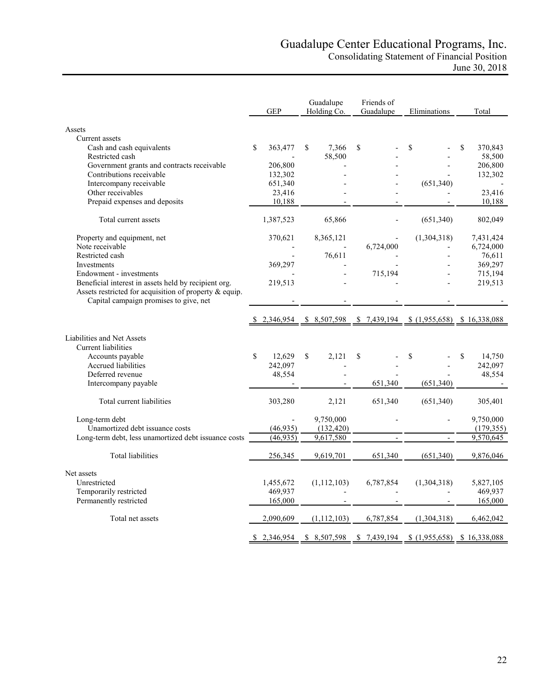|                                                                                                                                          | <b>GEP</b>                        | Guadalupe<br>Holding Co. |                         | Friends of<br>Guadalupe |           | Eliminations                                                      | Total                             |
|------------------------------------------------------------------------------------------------------------------------------------------|-----------------------------------|--------------------------|-------------------------|-------------------------|-----------|-------------------------------------------------------------------|-----------------------------------|
| Assets                                                                                                                                   |                                   |                          |                         |                         |           |                                                                   |                                   |
| Current assets                                                                                                                           |                                   |                          |                         |                         |           |                                                                   |                                   |
| Cash and cash equivalents                                                                                                                | \$<br>363,477                     | S                        | 7,366                   | \$                      |           | \$                                                                | \$<br>370,843                     |
| Restricted cash                                                                                                                          |                                   |                          | 58,500                  |                         |           |                                                                   | 58,500                            |
| Government grants and contracts receivable                                                                                               | 206,800                           |                          |                         |                         |           |                                                                   | 206,800                           |
| Contributions receivable                                                                                                                 | 132,302                           |                          |                         |                         |           |                                                                   | 132,302                           |
| Intercompany receivable                                                                                                                  | 651,340                           |                          |                         |                         |           | (651,340)                                                         |                                   |
| Other receivables                                                                                                                        | 23,416                            |                          |                         |                         |           |                                                                   | 23,416                            |
| Prepaid expenses and deposits                                                                                                            | 10,188                            |                          |                         |                         |           |                                                                   | 10,188                            |
| Total current assets                                                                                                                     | 1,387,523                         |                          | 65,866                  |                         |           | (651,340)                                                         | 802,049                           |
| Property and equipment, net                                                                                                              | 370,621                           |                          | 8,365,121               |                         |           | (1,304,318)                                                       | 7,431,424                         |
| Note receivable                                                                                                                          |                                   |                          |                         |                         | 6,724,000 |                                                                   | 6,724,000                         |
| Restricted cash                                                                                                                          |                                   |                          | 76,611                  |                         |           |                                                                   | 76,611                            |
| Investments                                                                                                                              | 369,297                           |                          |                         |                         |           |                                                                   | 369,297                           |
| Endowment - investments                                                                                                                  |                                   |                          |                         |                         | 715,194   |                                                                   | 715,194                           |
| Beneficial interest in assets held by recipient org.                                                                                     | 219,513                           |                          |                         |                         |           |                                                                   | 219,513                           |
| Assets restricted for acquisition of property & equip.<br>Capital campaign promises to give, net                                         |                                   |                          |                         |                         |           |                                                                   |                                   |
|                                                                                                                                          |                                   |                          |                         |                         |           | $$2,346,954$ $$8,507,598$ $$7,439,194$ $$1,955,658$ $$16,338,088$ |                                   |
| Liabilities and Net Assets<br>Current liabilities<br>Accounts payable<br>Accrued liabilities<br>Deferred revenue<br>Intercompany payable | \$<br>12,629<br>242,097<br>48,554 | \$                       | 2,121                   | \$                      | 651,340   | \$<br>(651, 340)                                                  | \$<br>14,750<br>242,097<br>48,554 |
| Total current liabilities                                                                                                                | 303,280                           |                          | 2,121                   |                         | 651,340   | (651, 340)                                                        | 305,401                           |
| Long-term debt<br>Unamortized debt issuance costs                                                                                        | (46,935)                          |                          | 9,750,000<br>(132, 420) |                         |           |                                                                   | 9,750,000<br>(179, 355)           |
| Long-term debt, less unamortized debt issuance costs                                                                                     | (46, 935)                         |                          | 9,617,580               |                         |           |                                                                   | 9,570,645                         |
| <b>Total liabilities</b>                                                                                                                 | 256,345                           |                          | 9,619,701               |                         | 651,340   | (651,340)                                                         | 9,876,046                         |
| Net assets                                                                                                                               |                                   |                          |                         |                         |           |                                                                   |                                   |
| Unrestricted                                                                                                                             | 1,455,672                         |                          | (1, 112, 103)           |                         | 6,787,854 | (1,304,318)                                                       | 5,827,105                         |
| Temporarily restricted                                                                                                                   | 469,937                           |                          |                         |                         |           |                                                                   | 469,937                           |
| Permanently restricted                                                                                                                   | 165,000                           |                          |                         |                         |           |                                                                   | 165,000                           |
| Total net assets                                                                                                                         | 2,090,609                         |                          | (1,112,103)             |                         | 6,787,854 | (1,304,318)                                                       | 6,462,042                         |
|                                                                                                                                          | \$<br>2,346,954                   | \$                       | 8,507,598               | \$                      | 7,439,194 | \$(1,955,658)                                                     | \$16,338,088                      |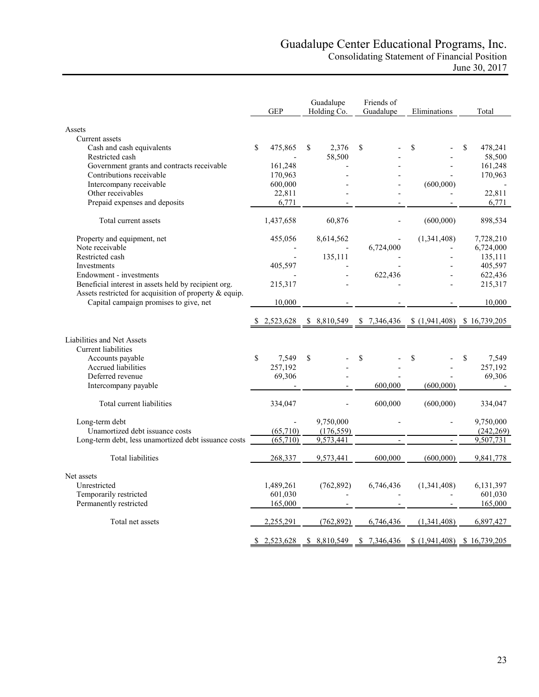|                                                                                                                                          |                    | <b>GEP</b>                      |    | Guadalupe<br>Holding Co. | Friends of<br>Guadalupe |             | Eliminations    | Total                            |
|------------------------------------------------------------------------------------------------------------------------------------------|--------------------|---------------------------------|----|--------------------------|-------------------------|-------------|-----------------|----------------------------------|
| Assets                                                                                                                                   |                    |                                 |    |                          |                         |             |                 |                                  |
| Current assets                                                                                                                           |                    |                                 |    |                          |                         |             |                 |                                  |
| Cash and cash equivalents                                                                                                                | $\mathbf{\hat{S}}$ | 475,865                         | \$ | 2,376                    | \$                      |             | \$              | \$<br>478,241                    |
| Restricted cash                                                                                                                          |                    |                                 |    | 58,500                   |                         |             |                 | 58,500                           |
| Government grants and contracts receivable                                                                                               |                    | 161,248                         |    |                          |                         |             |                 | 161,248                          |
| Contributions receivable                                                                                                                 |                    | 170,963                         |    |                          |                         |             |                 | 170,963                          |
| Intercompany receivable                                                                                                                  |                    | 600,000                         |    |                          |                         |             | (600,000)       |                                  |
| Other receivables                                                                                                                        |                    | 22,811                          |    |                          |                         |             |                 | 22,811                           |
| Prepaid expenses and deposits                                                                                                            |                    | 6,771                           |    |                          |                         |             |                 | 6,771                            |
| Total current assets                                                                                                                     |                    | 1,437,658                       |    | 60,876                   |                         |             | (600,000)       | 898,534                          |
| Property and equipment, net                                                                                                              |                    | 455,056                         |    | 8,614,562                |                         |             | (1,341,408)     | 7,728,210                        |
| Note receivable                                                                                                                          |                    |                                 |    |                          |                         | 6,724,000   |                 | 6,724,000                        |
| Restricted cash                                                                                                                          |                    |                                 |    | 135,111                  |                         |             |                 | 135,111                          |
| Investments                                                                                                                              |                    | 405,597                         |    |                          |                         |             |                 | 405,597                          |
| Endowment - investments                                                                                                                  |                    |                                 |    |                          |                         | 622,436     |                 | 622,436                          |
| Beneficial interest in assets held by recipient org.                                                                                     |                    | 215,317                         |    |                          |                         |             |                 | 215,317                          |
| Assets restricted for acquisition of property & equip.<br>Capital campaign promises to give, net                                         |                    | 10,000                          |    |                          |                         |             |                 | 10,000                           |
|                                                                                                                                          |                    | 2,523,628                       | S. | 8,810,549                | \$                      | 7,346,436   | \$(1,941,408)   | \$16,739,205                     |
| Liabilities and Net Assets<br>Current liabilities<br>Accounts payable<br>Accrued liabilities<br>Deferred revenue<br>Intercompany payable | \$                 | 7,549<br>257,192<br>69,306      | \$ |                          | \$                      | 600,000     | \$<br>(600,000) | \$<br>7,549<br>257,192<br>69,306 |
| Total current liabilities                                                                                                                |                    | 334,047                         |    |                          |                         | 600,000     | (600,000)       | 334,047                          |
| Long-term debt<br>Unamortized debt issuance costs                                                                                        |                    | (65,710)                        |    | 9,750,000<br>(176, 559)  |                         |             |                 | 9,750,000<br>(242, 269)          |
| Long-term debt, less unamortized debt issuance costs                                                                                     |                    | (65,710)                        |    | 9,573,441                |                         |             |                 | 9,507,731                        |
|                                                                                                                                          |                    |                                 |    |                          |                         |             |                 |                                  |
| <b>Total liabilities</b>                                                                                                                 |                    | 268,337                         |    | 9,573,441                |                         | 600,000     | (600,000)       | 9,841,778                        |
| Net assets<br>Unrestricted<br>Temporarily restricted<br>Permanently restricted                                                           |                    | 1,489,261<br>601,030<br>165,000 |    | (762, 892)               |                         | 6,746,436   | (1,341,408)     | 6,131,397<br>601,030<br>165,000  |
| Total net assets                                                                                                                         |                    | 2,255,291                       |    | (762, 892)               |                         | 6,746,436   | (1,341,408)     | 6,897,427                        |
|                                                                                                                                          | \$                 | 2,523,628                       |    | \$ 8,810,549             |                         | \$7,346,436 | (1,941,408)     | \$16,739,205                     |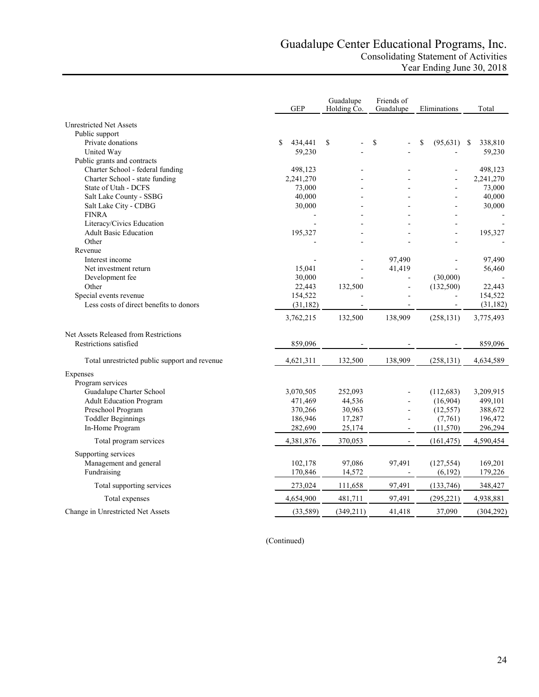| <b>Unrestricted Net Assets</b><br>Public support<br>$\mathbf{\hat{S}}$<br>\$<br>Private donations<br>434,441<br>S<br>\$<br>338,810<br>(95, 631)<br>S<br>59,230<br>United Way<br>59,230<br>Public grants and contracts<br>498,123<br>Charter School - federal funding<br>498,123<br>Charter School - state funding<br>2,241,270<br>2,241,270<br>State of Utah - DCFS<br>73,000<br>73,000<br>40,000<br>Salt Lake County - SSBG<br>40,000<br>30,000<br>Salt Lake City - CDBG<br>30,000<br><b>FINRA</b><br>Literacy/Civics Education<br><b>Adult Basic Education</b><br>195,327<br>195,327<br>Other<br>Revenue<br>Interest income<br>97,490<br>97,490<br>15.041<br>56,460<br>Net investment return<br>41,419<br>Development fee<br>30,000<br>(30,000)<br>22,443<br>Other<br>22,443<br>132,500<br>(132,500)<br>154,522<br>154,522<br>Special events revenue<br>Less costs of direct benefits to donors<br>(31, 182)<br>(31, 182)<br>3,762,215<br>132,500<br>138,909<br>(258, 131)<br>3,775,493<br>Net Assets Released from Restrictions<br>Restrictions satisfied<br>859,096<br>859,096<br>132,500<br>138,909<br>Total unrestricted public support and revenue<br>4,621,311<br>(258, 131)<br>4,634,589<br>Expenses<br>Program services<br>Guadalupe Charter School<br>3,070,505<br>252,093<br>(112, 683)<br>3,209,915<br><b>Adult Education Program</b><br>44,536<br>(16,904)<br>499,101<br>471,469<br>Preschool Program<br>30,963<br>(12, 557)<br>388,672<br>370,266<br>$\overline{a}$<br><b>Toddler Beginnings</b><br>186,946<br>17,287<br>(7, 761)<br>196,472<br>In-Home Program<br>25,174<br>296,294<br>282,690<br>(11, 570)<br>$\overline{a}$<br>Total program services<br>4,381,876<br>370,053<br>(161, 475)<br>4,590,454<br>Supporting services<br>Management and general<br>102,178<br>97,086<br>97,491<br>(127, 554)<br>169,201<br>Fundraising<br>170,846<br>14,572<br>179,226<br>(6, 192)<br>273,024<br>97,491<br>348,427<br>Total supporting services<br>111,658<br>(133, 746)<br>Total expenses<br>4,654,900<br>481,711<br>97,491<br>(295, 221)<br>4,938,881<br>Change in Unrestricted Net Assets<br>(33, 589)<br>(349,211)<br>41,418<br>37,090<br>(304, 292) | <b>GEP</b> | Guadalupe<br>Holding Co. | Friends of<br>Guadalupe | Eliminations | Total |
|----------------------------------------------------------------------------------------------------------------------------------------------------------------------------------------------------------------------------------------------------------------------------------------------------------------------------------------------------------------------------------------------------------------------------------------------------------------------------------------------------------------------------------------------------------------------------------------------------------------------------------------------------------------------------------------------------------------------------------------------------------------------------------------------------------------------------------------------------------------------------------------------------------------------------------------------------------------------------------------------------------------------------------------------------------------------------------------------------------------------------------------------------------------------------------------------------------------------------------------------------------------------------------------------------------------------------------------------------------------------------------------------------------------------------------------------------------------------------------------------------------------------------------------------------------------------------------------------------------------------------------------------------------------------------------------------------------------------------------------------------------------------------------------------------------------------------------------------------------------------------------------------------------------------------------------------------------------------------------------------------------------------------------------------------------------------------------------------------------------------------------------------------------------------|------------|--------------------------|-------------------------|--------------|-------|
|                                                                                                                                                                                                                                                                                                                                                                                                                                                                                                                                                                                                                                                                                                                                                                                                                                                                                                                                                                                                                                                                                                                                                                                                                                                                                                                                                                                                                                                                                                                                                                                                                                                                                                                                                                                                                                                                                                                                                                                                                                                                                                                                                                      |            |                          |                         |              |       |
|                                                                                                                                                                                                                                                                                                                                                                                                                                                                                                                                                                                                                                                                                                                                                                                                                                                                                                                                                                                                                                                                                                                                                                                                                                                                                                                                                                                                                                                                                                                                                                                                                                                                                                                                                                                                                                                                                                                                                                                                                                                                                                                                                                      |            |                          |                         |              |       |
|                                                                                                                                                                                                                                                                                                                                                                                                                                                                                                                                                                                                                                                                                                                                                                                                                                                                                                                                                                                                                                                                                                                                                                                                                                                                                                                                                                                                                                                                                                                                                                                                                                                                                                                                                                                                                                                                                                                                                                                                                                                                                                                                                                      |            |                          |                         |              |       |
|                                                                                                                                                                                                                                                                                                                                                                                                                                                                                                                                                                                                                                                                                                                                                                                                                                                                                                                                                                                                                                                                                                                                                                                                                                                                                                                                                                                                                                                                                                                                                                                                                                                                                                                                                                                                                                                                                                                                                                                                                                                                                                                                                                      |            |                          |                         |              |       |
|                                                                                                                                                                                                                                                                                                                                                                                                                                                                                                                                                                                                                                                                                                                                                                                                                                                                                                                                                                                                                                                                                                                                                                                                                                                                                                                                                                                                                                                                                                                                                                                                                                                                                                                                                                                                                                                                                                                                                                                                                                                                                                                                                                      |            |                          |                         |              |       |
|                                                                                                                                                                                                                                                                                                                                                                                                                                                                                                                                                                                                                                                                                                                                                                                                                                                                                                                                                                                                                                                                                                                                                                                                                                                                                                                                                                                                                                                                                                                                                                                                                                                                                                                                                                                                                                                                                                                                                                                                                                                                                                                                                                      |            |                          |                         |              |       |
|                                                                                                                                                                                                                                                                                                                                                                                                                                                                                                                                                                                                                                                                                                                                                                                                                                                                                                                                                                                                                                                                                                                                                                                                                                                                                                                                                                                                                                                                                                                                                                                                                                                                                                                                                                                                                                                                                                                                                                                                                                                                                                                                                                      |            |                          |                         |              |       |
|                                                                                                                                                                                                                                                                                                                                                                                                                                                                                                                                                                                                                                                                                                                                                                                                                                                                                                                                                                                                                                                                                                                                                                                                                                                                                                                                                                                                                                                                                                                                                                                                                                                                                                                                                                                                                                                                                                                                                                                                                                                                                                                                                                      |            |                          |                         |              |       |
|                                                                                                                                                                                                                                                                                                                                                                                                                                                                                                                                                                                                                                                                                                                                                                                                                                                                                                                                                                                                                                                                                                                                                                                                                                                                                                                                                                                                                                                                                                                                                                                                                                                                                                                                                                                                                                                                                                                                                                                                                                                                                                                                                                      |            |                          |                         |              |       |
|                                                                                                                                                                                                                                                                                                                                                                                                                                                                                                                                                                                                                                                                                                                                                                                                                                                                                                                                                                                                                                                                                                                                                                                                                                                                                                                                                                                                                                                                                                                                                                                                                                                                                                                                                                                                                                                                                                                                                                                                                                                                                                                                                                      |            |                          |                         |              |       |
|                                                                                                                                                                                                                                                                                                                                                                                                                                                                                                                                                                                                                                                                                                                                                                                                                                                                                                                                                                                                                                                                                                                                                                                                                                                                                                                                                                                                                                                                                                                                                                                                                                                                                                                                                                                                                                                                                                                                                                                                                                                                                                                                                                      |            |                          |                         |              |       |
|                                                                                                                                                                                                                                                                                                                                                                                                                                                                                                                                                                                                                                                                                                                                                                                                                                                                                                                                                                                                                                                                                                                                                                                                                                                                                                                                                                                                                                                                                                                                                                                                                                                                                                                                                                                                                                                                                                                                                                                                                                                                                                                                                                      |            |                          |                         |              |       |
|                                                                                                                                                                                                                                                                                                                                                                                                                                                                                                                                                                                                                                                                                                                                                                                                                                                                                                                                                                                                                                                                                                                                                                                                                                                                                                                                                                                                                                                                                                                                                                                                                                                                                                                                                                                                                                                                                                                                                                                                                                                                                                                                                                      |            |                          |                         |              |       |
|                                                                                                                                                                                                                                                                                                                                                                                                                                                                                                                                                                                                                                                                                                                                                                                                                                                                                                                                                                                                                                                                                                                                                                                                                                                                                                                                                                                                                                                                                                                                                                                                                                                                                                                                                                                                                                                                                                                                                                                                                                                                                                                                                                      |            |                          |                         |              |       |
|                                                                                                                                                                                                                                                                                                                                                                                                                                                                                                                                                                                                                                                                                                                                                                                                                                                                                                                                                                                                                                                                                                                                                                                                                                                                                                                                                                                                                                                                                                                                                                                                                                                                                                                                                                                                                                                                                                                                                                                                                                                                                                                                                                      |            |                          |                         |              |       |
|                                                                                                                                                                                                                                                                                                                                                                                                                                                                                                                                                                                                                                                                                                                                                                                                                                                                                                                                                                                                                                                                                                                                                                                                                                                                                                                                                                                                                                                                                                                                                                                                                                                                                                                                                                                                                                                                                                                                                                                                                                                                                                                                                                      |            |                          |                         |              |       |
|                                                                                                                                                                                                                                                                                                                                                                                                                                                                                                                                                                                                                                                                                                                                                                                                                                                                                                                                                                                                                                                                                                                                                                                                                                                                                                                                                                                                                                                                                                                                                                                                                                                                                                                                                                                                                                                                                                                                                                                                                                                                                                                                                                      |            |                          |                         |              |       |
|                                                                                                                                                                                                                                                                                                                                                                                                                                                                                                                                                                                                                                                                                                                                                                                                                                                                                                                                                                                                                                                                                                                                                                                                                                                                                                                                                                                                                                                                                                                                                                                                                                                                                                                                                                                                                                                                                                                                                                                                                                                                                                                                                                      |            |                          |                         |              |       |
|                                                                                                                                                                                                                                                                                                                                                                                                                                                                                                                                                                                                                                                                                                                                                                                                                                                                                                                                                                                                                                                                                                                                                                                                                                                                                                                                                                                                                                                                                                                                                                                                                                                                                                                                                                                                                                                                                                                                                                                                                                                                                                                                                                      |            |                          |                         |              |       |
|                                                                                                                                                                                                                                                                                                                                                                                                                                                                                                                                                                                                                                                                                                                                                                                                                                                                                                                                                                                                                                                                                                                                                                                                                                                                                                                                                                                                                                                                                                                                                                                                                                                                                                                                                                                                                                                                                                                                                                                                                                                                                                                                                                      |            |                          |                         |              |       |
|                                                                                                                                                                                                                                                                                                                                                                                                                                                                                                                                                                                                                                                                                                                                                                                                                                                                                                                                                                                                                                                                                                                                                                                                                                                                                                                                                                                                                                                                                                                                                                                                                                                                                                                                                                                                                                                                                                                                                                                                                                                                                                                                                                      |            |                          |                         |              |       |
|                                                                                                                                                                                                                                                                                                                                                                                                                                                                                                                                                                                                                                                                                                                                                                                                                                                                                                                                                                                                                                                                                                                                                                                                                                                                                                                                                                                                                                                                                                                                                                                                                                                                                                                                                                                                                                                                                                                                                                                                                                                                                                                                                                      |            |                          |                         |              |       |
|                                                                                                                                                                                                                                                                                                                                                                                                                                                                                                                                                                                                                                                                                                                                                                                                                                                                                                                                                                                                                                                                                                                                                                                                                                                                                                                                                                                                                                                                                                                                                                                                                                                                                                                                                                                                                                                                                                                                                                                                                                                                                                                                                                      |            |                          |                         |              |       |
|                                                                                                                                                                                                                                                                                                                                                                                                                                                                                                                                                                                                                                                                                                                                                                                                                                                                                                                                                                                                                                                                                                                                                                                                                                                                                                                                                                                                                                                                                                                                                                                                                                                                                                                                                                                                                                                                                                                                                                                                                                                                                                                                                                      |            |                          |                         |              |       |
|                                                                                                                                                                                                                                                                                                                                                                                                                                                                                                                                                                                                                                                                                                                                                                                                                                                                                                                                                                                                                                                                                                                                                                                                                                                                                                                                                                                                                                                                                                                                                                                                                                                                                                                                                                                                                                                                                                                                                                                                                                                                                                                                                                      |            |                          |                         |              |       |
|                                                                                                                                                                                                                                                                                                                                                                                                                                                                                                                                                                                                                                                                                                                                                                                                                                                                                                                                                                                                                                                                                                                                                                                                                                                                                                                                                                                                                                                                                                                                                                                                                                                                                                                                                                                                                                                                                                                                                                                                                                                                                                                                                                      |            |                          |                         |              |       |
|                                                                                                                                                                                                                                                                                                                                                                                                                                                                                                                                                                                                                                                                                                                                                                                                                                                                                                                                                                                                                                                                                                                                                                                                                                                                                                                                                                                                                                                                                                                                                                                                                                                                                                                                                                                                                                                                                                                                                                                                                                                                                                                                                                      |            |                          |                         |              |       |
|                                                                                                                                                                                                                                                                                                                                                                                                                                                                                                                                                                                                                                                                                                                                                                                                                                                                                                                                                                                                                                                                                                                                                                                                                                                                                                                                                                                                                                                                                                                                                                                                                                                                                                                                                                                                                                                                                                                                                                                                                                                                                                                                                                      |            |                          |                         |              |       |
|                                                                                                                                                                                                                                                                                                                                                                                                                                                                                                                                                                                                                                                                                                                                                                                                                                                                                                                                                                                                                                                                                                                                                                                                                                                                                                                                                                                                                                                                                                                                                                                                                                                                                                                                                                                                                                                                                                                                                                                                                                                                                                                                                                      |            |                          |                         |              |       |
|                                                                                                                                                                                                                                                                                                                                                                                                                                                                                                                                                                                                                                                                                                                                                                                                                                                                                                                                                                                                                                                                                                                                                                                                                                                                                                                                                                                                                                                                                                                                                                                                                                                                                                                                                                                                                                                                                                                                                                                                                                                                                                                                                                      |            |                          |                         |              |       |
|                                                                                                                                                                                                                                                                                                                                                                                                                                                                                                                                                                                                                                                                                                                                                                                                                                                                                                                                                                                                                                                                                                                                                                                                                                                                                                                                                                                                                                                                                                                                                                                                                                                                                                                                                                                                                                                                                                                                                                                                                                                                                                                                                                      |            |                          |                         |              |       |
|                                                                                                                                                                                                                                                                                                                                                                                                                                                                                                                                                                                                                                                                                                                                                                                                                                                                                                                                                                                                                                                                                                                                                                                                                                                                                                                                                                                                                                                                                                                                                                                                                                                                                                                                                                                                                                                                                                                                                                                                                                                                                                                                                                      |            |                          |                         |              |       |
|                                                                                                                                                                                                                                                                                                                                                                                                                                                                                                                                                                                                                                                                                                                                                                                                                                                                                                                                                                                                                                                                                                                                                                                                                                                                                                                                                                                                                                                                                                                                                                                                                                                                                                                                                                                                                                                                                                                                                                                                                                                                                                                                                                      |            |                          |                         |              |       |
|                                                                                                                                                                                                                                                                                                                                                                                                                                                                                                                                                                                                                                                                                                                                                                                                                                                                                                                                                                                                                                                                                                                                                                                                                                                                                                                                                                                                                                                                                                                                                                                                                                                                                                                                                                                                                                                                                                                                                                                                                                                                                                                                                                      |            |                          |                         |              |       |
|                                                                                                                                                                                                                                                                                                                                                                                                                                                                                                                                                                                                                                                                                                                                                                                                                                                                                                                                                                                                                                                                                                                                                                                                                                                                                                                                                                                                                                                                                                                                                                                                                                                                                                                                                                                                                                                                                                                                                                                                                                                                                                                                                                      |            |                          |                         |              |       |
|                                                                                                                                                                                                                                                                                                                                                                                                                                                                                                                                                                                                                                                                                                                                                                                                                                                                                                                                                                                                                                                                                                                                                                                                                                                                                                                                                                                                                                                                                                                                                                                                                                                                                                                                                                                                                                                                                                                                                                                                                                                                                                                                                                      |            |                          |                         |              |       |
|                                                                                                                                                                                                                                                                                                                                                                                                                                                                                                                                                                                                                                                                                                                                                                                                                                                                                                                                                                                                                                                                                                                                                                                                                                                                                                                                                                                                                                                                                                                                                                                                                                                                                                                                                                                                                                                                                                                                                                                                                                                                                                                                                                      |            |                          |                         |              |       |
|                                                                                                                                                                                                                                                                                                                                                                                                                                                                                                                                                                                                                                                                                                                                                                                                                                                                                                                                                                                                                                                                                                                                                                                                                                                                                                                                                                                                                                                                                                                                                                                                                                                                                                                                                                                                                                                                                                                                                                                                                                                                                                                                                                      |            |                          |                         |              |       |
|                                                                                                                                                                                                                                                                                                                                                                                                                                                                                                                                                                                                                                                                                                                                                                                                                                                                                                                                                                                                                                                                                                                                                                                                                                                                                                                                                                                                                                                                                                                                                                                                                                                                                                                                                                                                                                                                                                                                                                                                                                                                                                                                                                      |            |                          |                         |              |       |

(Continued)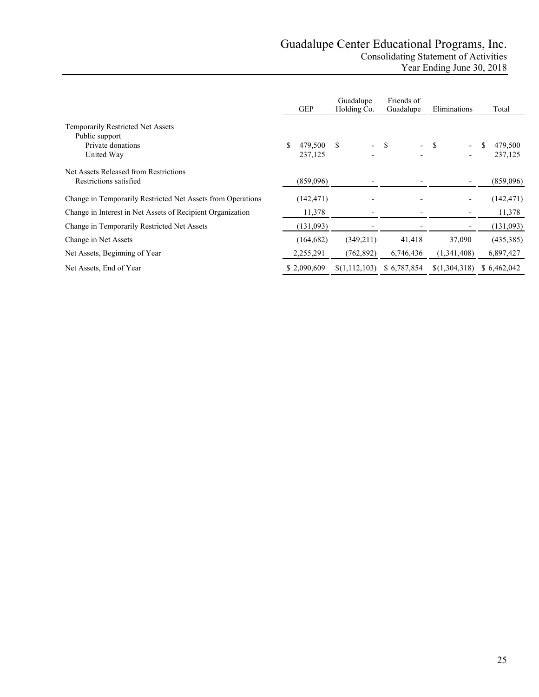|                                                                                        | <b>GEP</b>  |                    | Guadalupe<br>Holding Co. |       | Friends of<br>Guadalupe |        | Eliminations  | Total              |
|----------------------------------------------------------------------------------------|-------------|--------------------|--------------------------|-------|-------------------------|--------|---------------|--------------------|
| Temporarily Restricted Net Assets<br>Public support<br>Private donations<br>United Way | \$          | 479,500<br>237,125 | S                        | $- S$ |                         |        | $- S$<br>-    | 479,500<br>237,125 |
| Net Assets Released from Restrictions<br>Restrictions satisfied                        |             | (859,096)          |                          |       |                         |        |               | (859,096)          |
| Change in Temporarily Restricted Net Assets from Operations                            |             | (142, 471)         |                          |       |                         |        |               | (142, 471)         |
| Change in Interest in Net Assets of Recipient Organization                             |             | 11,378             |                          |       |                         |        |               | 11,378             |
| Change in Temporarily Restricted Net Assets                                            |             | (131,093)          |                          |       |                         |        |               | (131,093)          |
| Change in Net Assets                                                                   |             | (164, 682)         | (349,211)                |       |                         | 41,418 | 37,090        | (435, 385)         |
| Net Assets, Beginning of Year                                                          |             | 2,255,291          | (762, 892)               |       | 6,746,436               |        | (1,341,408)   | 6,897,427          |
| Net Assets, End of Year                                                                | \$2,090,609 |                    | \$(1,112,103)            |       | \$6,787,854             |        | \$(1,304,318) | \$6,462,042        |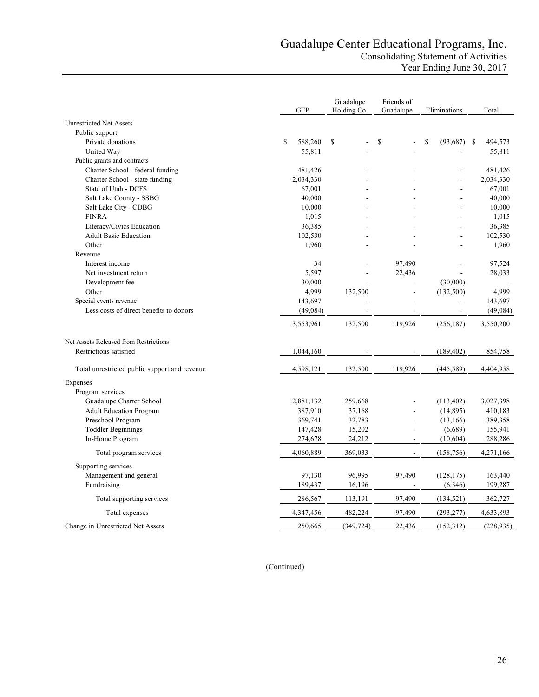|                                               |               | Guadalupe   |            | Friends of    |                 |                    |
|-----------------------------------------------|---------------|-------------|------------|---------------|-----------------|--------------------|
|                                               | <b>GEP</b>    | Holding Co. |            | Guadalupe     | Eliminations    | Total              |
| <b>Unrestricted Net Assets</b>                |               |             |            |               |                 |                    |
| Public support                                |               |             |            |               |                 |                    |
| Private donations                             | \$<br>588,260 | \$          |            | <sup>\$</sup> | \$<br>(93, 687) | 494,573<br>-S      |
| United Way                                    | 55,811        |             |            |               |                 | 55,811             |
| Public grants and contracts                   |               |             |            |               |                 |                    |
| Charter School - federal funding              | 481,426       |             |            |               |                 | 481,426            |
| Charter School - state funding                | 2,034,330     |             |            |               |                 | 2,034,330          |
| State of Utah - DCFS                          | 67,001        |             |            |               |                 | 67,001             |
| Salt Lake County - SSBG                       | 40,000        |             |            |               | ÷               | 40,000             |
| Salt Lake City - CDBG                         | 10,000        |             |            |               |                 | 10,000             |
| <b>FINRA</b>                                  | 1,015         |             |            |               |                 | 1,015              |
| Literacy/Civics Education                     | 36,385        |             |            |               |                 | 36,385             |
| <b>Adult Basic Education</b>                  | 102,530       |             |            |               |                 | 102,530            |
| Other                                         | 1,960         |             |            |               | L,              | 1,960              |
| Revenue                                       |               |             |            |               |                 |                    |
| Interest income                               |               | 34          | L.         | 97,490        | L.              | 97,524             |
| Net investment return                         | 5,597         |             | L,         | 22,436        |                 | 28,033             |
| Development fee                               | 30,000        |             |            |               | (30,000)        |                    |
| Other                                         | 4,999         |             | 132,500    | ÷,            | (132,500)       | 4.999              |
| Special events revenue                        | 143,697       |             |            |               |                 | 143,697            |
| Less costs of direct benefits to donors       | (49,084)      |             |            |               |                 | (49,084)           |
|                                               | 3,553,961     |             | 132,500    | 119,926       | (256, 187)      | 3,550,200          |
| Net Assets Released from Restrictions         |               |             |            |               |                 |                    |
| Restrictions satisfied                        | 1,044,160     |             |            |               | (189, 402)      | 854,758            |
| Total unrestricted public support and revenue | 4,598,121     |             | 132,500    | 119,926       | (445,589)       | 4,404,958          |
| Expenses                                      |               |             |            |               |                 |                    |
| Program services                              |               |             |            |               |                 |                    |
| Guadalupe Charter School                      | 2,881,132     |             | 259,668    |               | (113,402)       | 3,027,398          |
| <b>Adult Education Program</b>                | 387,910       |             | 37,168     |               | (14, 895)       | 410,183            |
| Preschool Program                             | 369,741       |             | 32,783     |               | (13,166)        | 389,358            |
| <b>Toddler Beginnings</b>                     | 147,428       |             | 15,202     | ÷,            | (6,689)         | 155,941            |
| In-Home Program                               | 274,678       |             | 24,212     |               | (10, 604)       | 288,286            |
| Total program services                        | 4,060,889     |             | 369,033    | ÷             | (158, 756)      | 4,271,166          |
| Supporting services                           |               |             |            |               |                 |                    |
| Management and general                        | 97,130        |             | 96,995     | 97,490        |                 |                    |
| Fundraising                                   |               |             | 16,196     |               | (128, 175)      | 163,440<br>199,287 |
|                                               | 189,437       |             |            |               | (6,346)         |                    |
| Total supporting services                     | 286,567       |             | 113,191    | 97,490        | (134, 521)      | 362,727            |
| Total expenses                                | 4,347,456     |             | 482,224    | 97,490        | (293, 277)      | 4,633,893          |
| Change in Unrestricted Net Assets             | 250,665       |             | (349, 724) | 22,436        | (152,312)       | (228, 935)         |

(Continued)